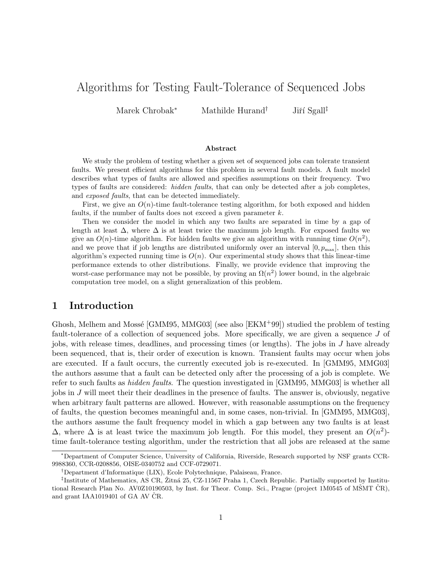# Algorithms for Testing Fault-Tolerance of Sequenced Jobs

Marek Chrobak<sup>∗</sup> Mathilde Hurand<sup>†</sup> Jiří Sgall<sup>‡</sup>

#### Abstract

We study the problem of testing whether a given set of sequenced jobs can tolerate transient faults. We present efficient algorithms for this problem in several fault models. A fault model describes what types of faults are allowed and specifies assumptions on their frequency. Two types of faults are considered: *hidden faults*, that can only be detected after a job completes, and exposed faults, that can be detected immediately.

First, we give an  $O(n)$ -time fault-tolerance testing algorithm, for both exposed and hidden faults, if the number of faults does not exceed a given parameter k.

Then we consider the model in which any two faults are separated in time by a gap of length at least  $\Delta$ , where  $\Delta$  is at least twice the maximum job length. For exposed faults we give an  $O(n)$ -time algorithm. For hidden faults we give an algorithm with running time  $O(n^2)$ , and we prove that if job lengths are distributed uniformly over an interval  $[0, p_{\text{max}}]$ , then this algorithm's expected running time is  $O(n)$ . Our experimental study shows that this linear-time performance extends to other distributions. Finally, we provide evidence that improving the worst-case performance may not be possible, by proving an  $\Omega(n^2)$  lower bound, in the algebraic computation tree model, on a slight generalization of this problem.

# 1 Introduction

Ghosh, Melhem and Mossé [GMM95, MMG03] (see also  $[EKM+99]$ ) studied the problem of testing fault-tolerance of a collection of sequenced jobs. More specifically, we are given a sequence J of jobs, with release times, deadlines, and processing times (or lengths). The jobs in J have already been sequenced, that is, their order of execution is known. Transient faults may occur when jobs are executed. If a fault occurs, the currently executed job is re-executed. In [GMM95, MMG03] the authors assume that a fault can be detected only after the processing of a job is complete. We refer to such faults as *hidden faults*. The question investigated in [GMM95, MMG03] is whether all jobs in J will meet their their deadlines in the presence of faults. The answer is, obviously, negative when arbitrary fault patterns are allowed. However, with reasonable assumptions on the frequency of faults, the question becomes meaningful and, in some cases, non-trivial. In [GMM95, MMG03], the authors assume the fault frequency model in which a gap between any two faults is at least  $\Delta$ , where  $\Delta$  is at least twice the maximum job length. For this model, they present an  $O(n^2)$ time fault-tolerance testing algorithm, under the restriction that all jobs are released at the same

<sup>∗</sup>Department of Computer Science, University of California, Riverside, Research supported by NSF grants CCR-9988360, CCR-0208856, OISE-0340752 and CCF-0729071.

<sup>†</sup>Department d'Informatique (LIX), Ecole Polytechnique, Palaiseau, France.

<sup>&</sup>lt;sup>‡</sup>Institute of Mathematics, AS CR, Žitná 25, CZ-11567 Praha 1, Czech Republic. Partially supported by Institutional Research Plan No. AV0Z10190503, by Inst. for Theor. Comp. Sci., Prague (project 1M0545 of MŠMT ČR), and grant  $IAA1019401$  of GA AV CR.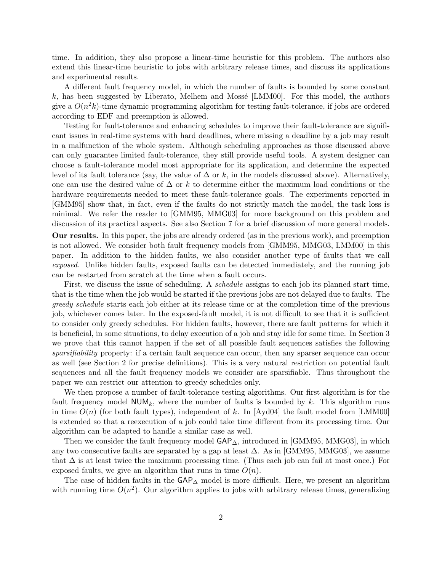time. In addition, they also propose a linear-time heuristic for this problem. The authors also extend this linear-time heuristic to jobs with arbitrary release times, and discuss its applications and experimental results.

A different fault frequency model, in which the number of faults is bounded by some constant k, has been suggested by Liberato, Melhem and Mossé [LMM00]. For this model, the authors give a  $O(n^2k)$ -time dynamic programming algorithm for testing fault-tolerance, if jobs are ordered according to EDF and preemption is allowed.

Testing for fault-tolerance and enhancing schedules to improve their fault-tolerance are significant issues in real-time systems with hard deadlines, where missing a deadline by a job may result in a malfunction of the whole system. Although scheduling approaches as those discussed above can only guarantee limited fault-tolerance, they still provide useful tools. A system designer can choose a fault-tolerance model most appropriate for its application, and determine the expected level of its fault tolerance (say, the value of  $\Delta$  or k, in the models discussed above). Alternatively, one can use the desired value of  $\Delta$  or k to determine either the maximum load conditions or the hardware requirements needed to meet these fault-tolerance goals. The experiments reported in [GMM95] show that, in fact, even if the faults do not strictly match the model, the task loss is minimal. We refer the reader to [GMM95, MMG03] for more background on this problem and discussion of its practical aspects. See also Section 7 for a brief discussion of more general models.

Our results. In this paper, the jobs are already ordered (as in the previous work), and preemption is not allowed. We consider both fault frequency models from [GMM95, MMG03, LMM00] in this paper. In addition to the hidden faults, we also consider another type of faults that we call exposed. Unlike hidden faults, exposed faults can be detected immediately, and the running job can be restarted from scratch at the time when a fault occurs.

First, we discuss the issue of scheduling. A *schedule* assigns to each job its planned start time, that is the time when the job would be started if the previous jobs are not delayed due to faults. The greedy schedule starts each job either at its release time or at the completion time of the previous job, whichever comes later. In the exposed-fault model, it is not difficult to see that it is sufficient to consider only greedy schedules. For hidden faults, however, there are fault patterns for which it is beneficial, in some situations, to delay execution of a job and stay idle for some time. In Section 3 we prove that this cannot happen if the set of all possible fault sequences satisfies the following sparsifiability property: if a certain fault sequence can occur, then any sparser sequence can occur as well (see Section 2 for precise definitions). This is a very natural restriction on potential fault sequences and all the fault frequency models we consider are sparsifiable. Thus throughout the paper we can restrict our attention to greedy schedules only.

We then propose a number of fault-tolerance testing algorithms. Our first algorithm is for the fault frequency model  $NUM_k$ , where the number of faults is bounded by k. This algorithm runs in time  $O(n)$  (for both fault types), independent of k. In [Ayd04] the fault model from [LMM00] is extended so that a reexecution of a job could take time different from its processing time. Our algorithm can be adapted to handle a similar case as well.

Then we consider the fault frequency model  $\mathsf{GAP}_{\Delta}$ , introduced in [GMM95, MMG03], in which any two consecutive faults are separated by a gap at least  $\Delta$ . As in [GMM95, MMG03], we assume that  $\Delta$  is at least twice the maximum processing time. (Thus each job can fail at most once.) For exposed faults, we give an algorithm that runs in time  $O(n)$ .

The case of hidden faults in the GAP<sub>△</sub> model is more difficult. Here, we present an algorithm with running time  $O(n^2)$ . Our algorithm applies to jobs with arbitrary release times, generalizing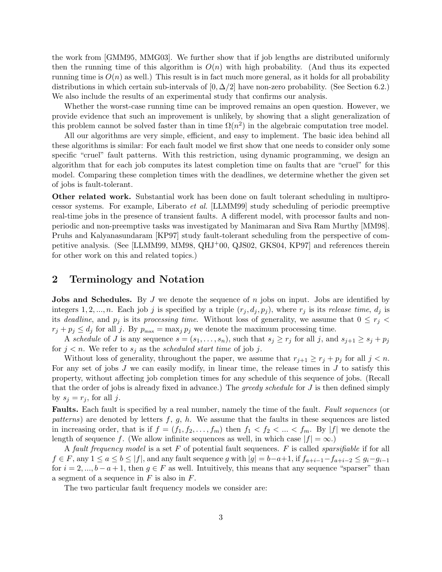the work from [GMM95, MMG03]. We further show that if job lengths are distributed uniformly then the running time of this algorithm is  $O(n)$  with high probability. (And thus its expected running time is  $O(n)$  as well.) This result is in fact much more general, as it holds for all probability distributions in which certain sub-intervals of  $[0, \Delta/2]$  have non-zero probability. (See Section 6.2.) We also include the results of an experimental study that confirms our analysis.

Whether the worst-case running time can be improved remains an open question. However, we provide evidence that such an improvement is unlikely, by showing that a slight generalization of this problem cannot be solved faster than in time  $\Omega(n^2)$  in the algebraic computation tree model.

All our algorithms are very simple, efficient, and easy to implement. The basic idea behind all these algorithms is similar: For each fault model we first show that one needs to consider only some specific "cruel" fault patterns. With this restriction, using dynamic programming, we design an algorithm that for each job computes its latest completion time on faults that are "cruel" for this model. Comparing these completion times with the deadlines, we determine whether the given set of jobs is fault-tolerant.

Other related work. Substantial work has been done on fault tolerant scheduling in multiprocessor systems. For example, Liberato et al. [LLMM99] study scheduling of periodic preemptive real-time jobs in the presence of transient faults. A different model, with processor faults and nonperiodic and non-preemptive tasks was investigated by Manimaran and Siva Ram Murthy [MM98]. Pruhs and Kalyanasundaram [KP97] study fault-tolerant scheduling from the perspective of competitive analysis. (See [LLMM99, MM98, QHJ+00, QJS02, GKS04, KP97] and references therein for other work on this and related topics.)

# 2 Terminology and Notation

**Jobs and Schedules.** By J we denote the sequence of n jobs on input. Jobs are identified by integers 1, 2, ..., n. Each job j is specified by a triple  $(r_i, d_i, p_i)$ , where  $r_i$  is its release time,  $d_i$  is its deadline, and  $p_j$  is its processing time. Without loss of generality, we assume that  $0 \le r_j$  $r_j + p_j \le d_j$  for all j. By  $p_{\text{max}} = \max_j p_j$  we denote the maximum processing time.

A schedule of J is any sequence  $s = (s_1, \ldots, s_n)$ , such that  $s_j \geq r_j$  for all j, and  $s_{j+1} \geq s_j + p_j$ for  $j < n$ . We refer to  $s_j$  as the scheduled start time of job j.

Without loss of generality, throughout the paper, we assume that  $r_{j+1} \geq r_j + p_j$  for all  $j < n$ . For any set of jobs  $J$  we can easily modify, in linear time, the release times in  $J$  to satisfy this property, without affecting job completion times for any schedule of this sequence of jobs. (Recall that the order of jobs is already fixed in advance.) The greedy schedule for  $J$  is then defined simply by  $s_j = r_j$ , for all j.

Faults. Each fault is specified by a real number, namely the time of the fault. Fault sequences (or patterns) are denoted by letters  $f, g, h$ . We assume that the faults in these sequences are listed in increasing order, that is if  $f = (f_1, f_2, \ldots, f_m)$  then  $f_1 < f_2 < \ldots < f_m$ . By |f| we denote the length of sequence f. (We allow infinite sequences as well, in which case  $|f| = \infty$ .)

A fault frequency model is a set F of potential fault sequences. F is called sparsifiable if for all  $f \in F$ , any  $1 \le a \le b \le |f|$ , and any fault sequence g with  $|g| = b-a+1$ , if  $f_{a+i-1}-f_{a+i-2} \le g_i-g_{i-1}$ for  $i = 2, ..., b - a + 1$ , then  $g \in F$  as well. Intuitively, this means that any sequence "sparser" than a segment of a sequence in  $F$  is also in  $F$ .

The two particular fault frequency models we consider are: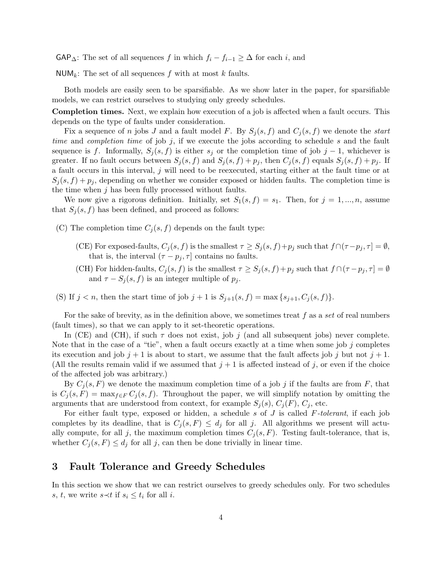$\mathsf{GAP}_{\Delta}$ : The set of all sequences f in which  $f_i - f_{i-1} \geq \Delta$  for each i, and

NUM<sub>k</sub>: The set of all sequences f with at most k faults.

Both models are easily seen to be sparsifiable. As we show later in the paper, for sparsifiable models, we can restrict ourselves to studying only greedy schedules.

Completion times. Next, we explain how execution of a job is affected when a fault occurs. This depends on the type of faults under consideration.

Fix a sequence of n jobs J and a fault model F. By  $S_j(s, f)$  and  $C_j(s, f)$  we denote the start time and completion time of job  $j$ , if we execute the jobs according to schedule  $s$  and the fault sequence is f. Informally,  $S_i(s, f)$  is either  $s_j$  or the completion time of job j – 1, whichever is greater. If no fault occurs between  $S_i(s, f)$  and  $S_i(s, f) + p_i$ , then  $C_i(s, f)$  equals  $S_i(s, f) + p_i$ . If a fault occurs in this interval, j will need to be reexecuted, starting either at the fault time or at  $S_i(s, f) + p_i$ , depending on whether we consider exposed or hidden faults. The completion time is the time when  $j$  has been fully processed without faults.

We now give a rigorous definition. Initially, set  $S_1(s, f) = s_1$ . Then, for  $j = 1, ..., n$ , assume that  $S_j(s, f)$  has been defined, and proceed as follows:

- (C) The completion time  $C_j(s, f)$  depends on the fault type:
	- (CE) For exposed-faults,  $C_j(s, f)$  is the smallest  $\tau \geq S_j(s, f) + p_j$  such that  $f \cap (\tau p_j, \tau] = \emptyset$ , that is, the interval  $(\tau - p_j, \tau]$  contains no faults.
	- (CH) For hidden-faults,  $C_j(s, f)$  is the smallest  $\tau \geq S_j(s, f) + p_j$  such that  $f \cap (\tau p_j, \tau] = \emptyset$ and  $\tau - S_i(s, f)$  is an integer multiple of  $p_i$ .
- (S) If  $j < n$ , then the start time of job  $j + 1$  is  $S_{j+1}(s, f) = \max\{s_{j+1}, C_j(s, f)\}.$

For the sake of brevity, as in the definition above, we sometimes treat  $f$  as a set of real numbers (fault times), so that we can apply to it set-theoretic operations.

In (CE) and (CH), if such  $\tau$  does not exist, job j (and all subsequent jobs) never complete. Note that in the case of a "tie", when a fault occurs exactly at a time when some job  $j$  completes its execution and job  $j + 1$  is about to start, we assume that the fault affects job j but not  $j + 1$ . (All the results remain valid if we assumed that  $j + 1$  is affected instead of j, or even if the choice of the affected job was arbitrary.)

By  $C_i(s, F)$  we denote the maximum completion time of a job j if the faults are from F, that is  $C_j(s, F) = \max_{f \in F} C_j(s, f)$ . Throughout the paper, we will simplify notation by omitting the arguments that are understood from context, for example  $S_j(s)$ ,  $C_j(F)$ ,  $C_j$ , etc.

For either fault type, exposed or hidden, a schedule s of  $J$  is called  $F$ -tolerant, if each job completes by its deadline, that is  $C_j(s, F) \leq d_j$  for all j. All algorithms we present will actually compute, for all j, the maximum completion times  $C_j(s, F)$ . Testing fault-tolerance, that is, whether  $C_j(s, F) \leq d_j$  for all j, can then be done trivially in linear time.

#### 3 Fault Tolerance and Greedy Schedules

In this section we show that we can restrict ourselves to greedy schedules only. For two schedules s, t, we write  $s \prec t$  if  $s_i \leq t_i$  for all i.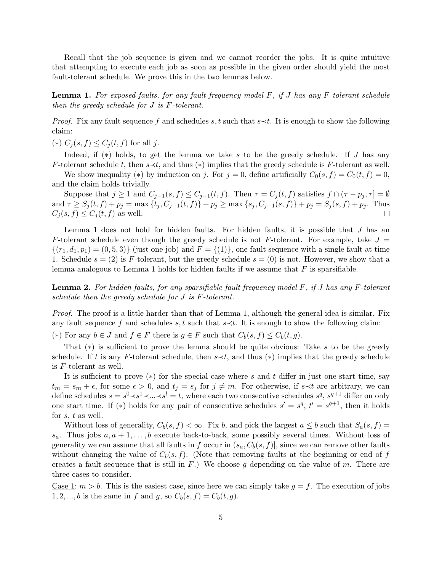Recall that the job sequence is given and we cannot reorder the jobs. It is quite intuitive that attempting to execute each job as soon as possible in the given order should yield the most fault-tolerant schedule. We prove this in the two lemmas below.

**Lemma 1.** For exposed faults, for any fault frequency model  $F$ , if  $J$  has any  $F$ -tolerant schedule then the greedy schedule for J is F-tolerant.

*Proof.* Fix any fault sequence f and schedules s, t such that  $s \prec t$ . It is enough to show the following claim:

(\*)  $C_j(s, f) \leq C_j(t, f)$  for all j.

Indeed, if (∗) holds, to get the lemma we take s to be the greedy schedule. If J has any F-tolerant schedule t, then  $s \prec t$ , and thus (\*) implies that the greedy schedule is F-tolerant as well.

We show inequality (\*) by induction on j. For  $j = 0$ , define artificially  $C_0(s, f) = C_0(t, f) = 0$ , and the claim holds trivially.

Suppose that  $j \geq 1$  and  $C_{j-1}(s, f) \leq C_{j-1}(t, f)$ . Then  $\tau = C_j(t, f)$  satisfies  $f \cap (\tau - p_j, \tau] = \emptyset$ and  $\tau \geq S_j(t, f) + p_j = \max\{t_j, C_{j-1}(t, f)\} + p_j \geq \max\{s_j, C_{j-1}(s, f)\} + p_j = S_j(s, f) + p_j$ . Thus  $C_j(s, f) \leq C_j(t, f)$  as well.  $\Box$ 

Lemma 1 does not hold for hidden faults. For hidden faults, it is possible that  $J$  has an F-tolerant schedule even though the greedy schedule is not F-tolerant. For example, take  $J =$  $\{(r_1, d_1, p_1) = (0, 5, 3)\}\$ (just one job) and  $F = \{(1)\}\$ , one fault sequence with a single fault at time 1. Schedule  $s = (2)$  is F-tolerant, but the greedy schedule  $s = (0)$  is not. However, we show that a lemma analogous to Lemma 1 holds for hidden faults if we assume that  $F$  is sparsifiable.

**Lemma 2.** For hidden faults, for any sparsifiable fault frequency model F, if J has any F-tolerant schedule then the greedy schedule for J is F-tolerant.

Proof. The proof is a little harder than that of Lemma 1, although the general idea is similar. Fix any fault sequence f and schedules s, t such that  $s \prec t$ . It is enough to show the following claim:

(\*) For any  $b \in J$  and  $f \in F$  there is  $g \in F$  such that  $C_b(s, f) \leq C_b(t, g)$ .

That (∗) is sufficient to prove the lemma should be quite obvious: Take s to be the greedy schedule. If t is any F-tolerant schedule, then  $s \prec t$ , and thus (\*) implies that the greedy schedule is F-tolerant as well.

It is sufficient to prove  $(*)$  for the special case where s and t differ in just one start time, say  $t_m = s_m + \epsilon$ , for some  $\epsilon > 0$ , and  $t_j = s_j$  for  $j \neq m$ . For otherwise, if s≺t are arbitrary, we can define schedules  $s = s^0 \lt s^1 \lt \ldots \lt s^l = t$ , where each two consecutive schedules  $s^q$ ,  $s^{q+1}$  differ on only one start time. If (\*) holds for any pair of consecutive schedules  $s' = s^q$ ,  $t' = s^{q+1}$ , then it holds for s, t as well.

Without loss of generality,  $C_b(s, f) < \infty$ . Fix b, and pick the largest  $a \leq b$  such that  $S_a(s, f)$  $s_a$ . Thus jobs  $a, a + 1, \ldots, b$  execute back-to-back, some possibly several times. Without loss of generality we can assume that all faults in f occur in  $(s_a, C_b(s, f))$ , since we can remove other faults without changing the value of  $C_b(s, f)$ . (Note that removing faults at the beginning or end of f creates a fault sequence that is still in  $F$ .) We choose g depending on the value of m. There are three cases to consider.

Case 1:  $m > b$ . This is the easiest case, since here we can simply take  $g = f$ . The execution of jobs 1, 2, ..., b is the same in f and g, so  $C_b(s, f) = C_b(t, g)$ .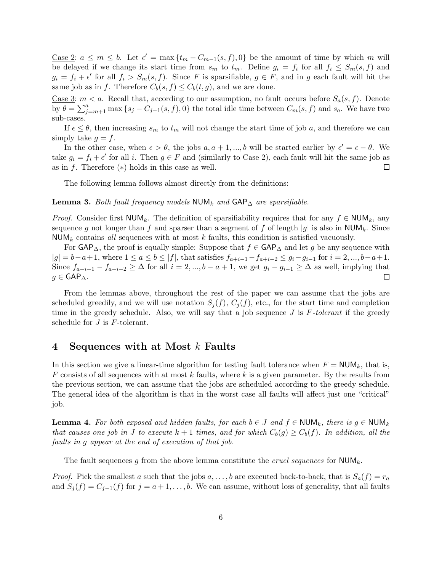<u>Case 2</u>:  $a \leq m \leq b$ . Let  $\epsilon' = \max\{t_m - C_{m-1}(s, f), 0\}$  be the amount of time by which m will be delayed if we change its start time from  $s_m$  to  $t_m$ . Define  $g_i = f_i$  for all  $f_i \leq S_m(s, f)$  and  $g_i = f_i + \epsilon'$  for all  $f_i > S_m(s, f)$ . Since F is sparsifiable,  $g \in F$ , and in g each fault will hit the same job as in f. Therefore  $C_b(s, f) \leq C_b(t, g)$ , and we are done.

Case 3:  $m < a$ . Recall that, according to our assumption, no fault occurs before  $S_a(s, f)$ . Denote by  $\theta = \sum_{j=m+1}^{a} \max\{s_j - C_{j-1}(s, f), 0\}$  the total idle time between  $C_m(s, f)$  and  $s_a$ . We have two sub-cases.

If  $\epsilon \leq \theta$ , then increasing  $s_m$  to  $t_m$  will not change the start time of job a, and therefore we can simply take  $g = f$ .

In the other case, when  $\epsilon > \theta$ , the jobs  $a, a + 1, ..., b$  will be started earlier by  $\epsilon' = \epsilon - \theta$ . We take  $g_i = f_i + \epsilon'$  for all i. Then  $g \in F$  and (similarly to Case 2), each fault will hit the same job as as in f. Therefore  $(*)$  holds in this case as well.  $\Box$ 

The following lemma follows almost directly from the definitions:

Lemma 3. Both fault frequency models NUM<sub>k</sub> and  $\mathsf{GAP}_{\Delta}$  are sparsifiable.

*Proof.* Consider first NUM<sub>k</sub>. The definition of sparsifiability requires that for any  $f \in \text{NUM}_k$ , any sequence g not longer than f and sparser than a segment of f of length |g| is also in  $\text{NUM}_k$ . Since  $\text{NUM}_k$  contains all sequences with at most k faults, this condition is satisfied vacuously.

For  $\mathsf{GAP}_{\Delta}$ , the proof is equally simple: Suppose that  $f \in \mathsf{GAP}_{\Delta}$  and let g be any sequence with  $|g| = b-a+1$ , where  $1 \le a \le b \le |f|$ , that satisfies  $f_{a+i-1}-f_{a+i-2} \le g_i-g_{i-1}$  for  $i=2,...,b-a+1$ . Since  $f_{a+i-1} - f_{a+i-2} \ge \Delta$  for all  $i = 2, ..., b - a + 1$ , we get  $g_i - g_{i-1} \ge \Delta$  as well, implying that  $g \in \mathsf{GAP}_{\Delta}$ .  $\Box$ 

From the lemmas above, throughout the rest of the paper we can assume that the jobs are scheduled greedily, and we will use notation  $S_j(f)$ ,  $C_j(f)$ , etc., for the start time and completion time in the greedy schedule. Also, we will say that a job sequence  $J$  is  $F\text{-}tolerant$  if the greedy schedule for  $J$  is  $F$ -tolerant.

#### 4 Sequences with at Most k Faults

In this section we give a linear-time algorithm for testing fault tolerance when  $F = \text{NUM}_k$ , that is,  $F$  consists of all sequences with at most k faults, where k is a given parameter. By the results from the previous section, we can assume that the jobs are scheduled according to the greedy schedule. The general idea of the algorithm is that in the worst case all faults will affect just one "critical" job.

**Lemma 4.** For both exposed and hidden faults, for each  $b \in J$  and  $f \in NUM_k$ , there is  $g \in NUM_k$ that causes one job in J to execute  $k+1$  times, and for which  $C_b(g) \geq C_b(f)$ . In addition, all the faults in g appear at the end of execution of that job.

The fault sequences g from the above lemma constitute the *cruel sequences* for  $\text{NUM}_k$ .

*Proof.* Pick the smallest a such that the jobs  $a, \ldots, b$  are executed back-to-back, that is  $S_a(f) = r_a$ and  $S_j(f) = C_{j-1}(f)$  for  $j = a+1, \ldots, b$ . We can assume, without loss of generality, that all faults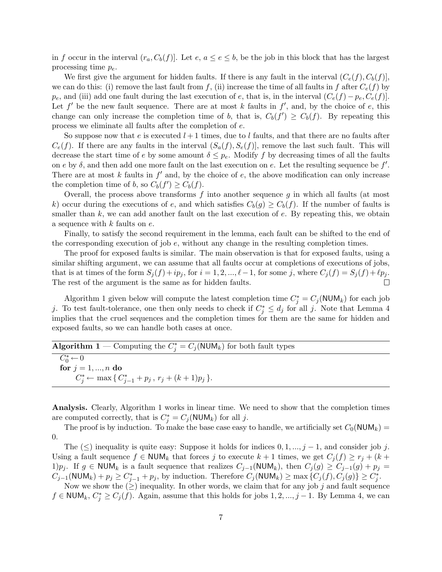in f occur in the interval  $(r_a, C_b(f))$ . Let  $e, a \le e \le b$ , be the job in this block that has the largest processing time  $p_e$ .

We first give the argument for hidden faults. If there is any fault in the interval  $(C_e(f), C_b(f))$ . we can do this: (i) remove the last fault from f, (ii) increase the time of all faults in f after  $C_e(f)$  by  $p_e$ , and (iii) add one fault during the last execution of e, that is, in the interval  $(C_e(f) - p_e, C_e(f))$ . Let  $f'$  be the new fault sequence. There are at most k faults in  $f'$ , and, by the choice of e, this change can only increase the completion time of b, that is,  $C_b(f') \geq C_b(f)$ . By repeating this process we eliminate all faults after the completion of e.

So suppose now that e is executed  $l+1$  times, due to l faults, and that there are no faults after  $C_e(f)$ . If there are any faults in the interval  $(S_a(f), S_e(f))$ , remove the last such fault. This will decrease the start time of e by some amount  $\delta \leq p_e$ . Modify f by decreasing times of all the faults on e by  $\delta$ , and then add one more fault on the last execution on e. Let the resulting sequence be  $f'$ . There are at most  $k$  faults in  $f'$  and, by the choice of  $e$ , the above modification can only increase the completion time of b, so  $C_b(f') \geq C_b(f)$ .

Overall, the process above transforms  $f$  into another sequence  $g$  in which all faults (at most k) occur during the executions of e, and which satisfies  $C_b(g) \geq C_b(f)$ . If the number of faults is smaller than  $k$ , we can add another fault on the last execution of  $e$ . By repeating this, we obtain a sequence with k faults on e.

Finally, to satisfy the second requirement in the lemma, each fault can be shifted to the end of the corresponding execution of job e, without any change in the resulting completion times.

The proof for exposed faults is similar. The main observation is that for exposed faults, using a similar shifting argument, we can assume that all faults occur at completions of executions of jobs, that is at times of the form  $S_j(f) + ip_j$ , for  $i = 1, 2, ..., \ell-1$ , for some j, where  $C_j(f) = S_j(f) + \ell p_j$ . The rest of the argument is the same as for hidden faults.  $\Box$ 

Algorithm 1 given below will compute the latest completion time  $C_j^* = C_j(\text{NUM}_k)$  for each job j. To test fault-tolerance, one then only needs to check if  $C_j^* \leq d_j$  for all j. Note that Lemma 4 implies that the cruel sequences and the completion times for them are the same for hidden and exposed faults, so we can handle both cases at once.

| <b>Algorithm 1</b> – Computing the $C_i^* = C_i(\text{NUM}_k)$ for both fault types |  |
|-------------------------------------------------------------------------------------|--|
|-------------------------------------------------------------------------------------|--|

 $\overline{C_0^* \leftarrow 0}$ for  $j = 1, ..., n$  do  $C_j^* \leftarrow \max\{C_{j-1}^* + p_j, r_j + (k+1)p_j\}.$ 

Analysis. Clearly, Algorithm 1 works in linear time. We need to show that the completion times are computed correctly, that is  $C_j^* = C_j(\text{NUM}_k)$  for all j.

The proof is by induction. To make the base case easy to handle, we artificially set  $C_0(\text{NUM}_k)$  = 0.

The  $(\leq)$  inequality is quite easy: Suppose it holds for indices  $0, 1, ..., j - 1$ , and consider job j. Using a fault sequence  $f \in \text{NUM}_k$  that forces j to execute  $k+1$  times, we get  $C_i(f) \geq r_i + (k+1)$ 1) $p_j$ . If  $g \in \text{NUM}_k$  is a fault sequence that realizes  $C_{j-1}(\text{NUM}_k)$ , then  $C_j(g) \geq C_{j-1}(g) + p_j =$  $C_{j-1}(\text{NUM}_k) + p_j \geq C_{j-1}^* + p_j$ , by induction. Therefore  $C_j(\text{NUM}_k) \geq \max\left\{C_j(f), C_j(g)\right\} \geq C_j^*$ .

Now we show the  $(\geq)$  inequality. In other words, we claim that for any job j and fault sequence  $f \in \text{NUM}_k, C^*_j \geq C_j(f)$ . Again, assume that this holds for jobs 1, 2, ..., j – 1. By Lemma 4, we can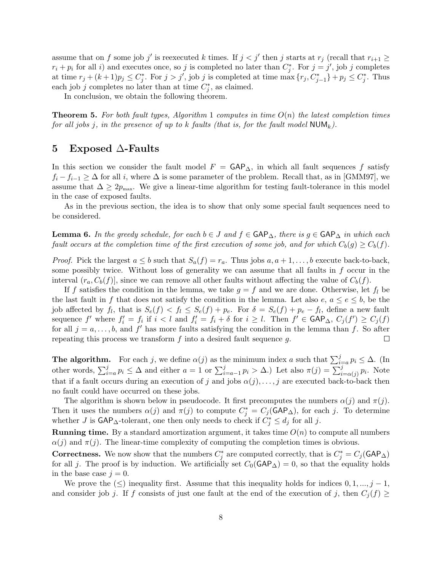assume that on f some job j' is reexecuted k times. If  $j < j'$  then j starts at  $r_j$  (recall that  $r_{i+1} \geq$  $r_i + p_i$  for all i) and executes once, so j is completed no later than  $C_j^*$ . For  $j = j'$ , job j completes at time  $r_j + (k+1)p_j \leq C_j^*$ . For  $j > j'$ , job j is completed at time  $\max\{r_j, C_{j-1}^*\} + p_j \leq C_j^*$ . Thus each job j completes no later than at time  $C_j^*$ , as claimed.

In conclusion, we obtain the following theorem.

**Theorem 5.** For both fault types, Algorithm 1 computes in time  $O(n)$  the latest completion times for all jobs j, in the presence of up to k faults (that is, for the fault model  $\mathsf{NUM}_k$ ).

#### 5 Exposed ∆-Faults

In this section we consider the fault model  $F = \mathsf{GAP}_{\Delta}$ , in which all fault sequences f satisfy  $f_i - f_{i-1} \geq \Delta$  for all i, where  $\Delta$  is some parameter of the problem. Recall that, as in [GMM97], we assume that  $\Delta \geq 2p_{\text{max}}$ . We give a linear-time algorithm for testing fault-tolerance in this model in the case of exposed faults.

As in the previous section, the idea is to show that only some special fault sequences need to be considered.

**Lemma 6.** In the greedy schedule, for each  $b \in J$  and  $f \in \text{GAP}_{\Delta}$ , there is  $g \in \text{GAP}_{\Delta}$  in which each fault occurs at the completion time of the first execution of some job, and for which  $C_b(g) \geq C_b(f)$ .

*Proof.* Pick the largest  $a \leq b$  such that  $S_a(f) = r_a$ . Thus jobs  $a, a + 1, \ldots, b$  execute back-to-back, some possibly twice. Without loss of generality we can assume that all faults in  $f$  occur in the interval  $(r_a, C_b(f))$ , since we can remove all other faults without affecting the value of  $C_b(f)$ .

If f satisfies the condition in the lemma, we take  $g = f$  and we are done. Otherwise, let  $f_l$  be the last fault in f that does not satisfy the condition in the lemma. Let also  $e, a \le e \le b$ , be the job affected by  $f_l$ , that is  $S_e(f) < f_l \leq S_e(f) + p_e$ . For  $\delta = S_e(f) + p_e - f_l$ , define a new fault sequence f' where  $f'_i = f_i$  if  $i < l$  and  $f'_i = f_i + \delta$  for  $i \geq l$ . Then  $f' \in \mathsf{GAP}_{\Delta}, C_j(f') \geq C_j(f)$ for all  $j = a, \ldots, b$ , and  $f'$  has more faults satisfying the condition in the lemma than f. So after repeating this process we transform  $f$  into a desired fault sequence  $g$ .  $\Box$ 

**The algorithm.** For each j, we define  $\alpha(j)$  as the minimum index a such that  $\sum_{i=a}^{j} p_i \leq \Delta$ . (In other words,  $\sum_{i=a}^{j} p_i \leq \Delta$  and either  $a=1$  or  $\sum_{i=a-1}^{j} p_i > \Delta$ .) Let also  $\pi(j) = \sum_{i=\alpha(j)}^{j} p_i$ . Note that if a fault occurs during an execution of j and jobs  $\alpha(j), \ldots, j$  are executed back-to-back then no fault could have occurred on these jobs.

The algorithm is shown below in pseudocode. It first precomputes the numbers  $\alpha(j)$  and  $\pi(j)$ . Then it uses the numbers  $\alpha(j)$  and  $\pi(j)$  to compute  $C_j^* = C_j(\text{GAP}_\Delta)$ , for each j. To determine whether J is  $\mathsf{GAP}_{\Delta}\text{-}$ tolerant, one then only needs to check if  $C_j^* \leq d_j$  for all j.

**Running time.** By a standard amortization argument, it takes time  $O(n)$  to compute all numbers  $\alpha(j)$  and  $\pi(j)$ . The linear-time complexity of computing the completion times is obvious.

**Correctness.** We now show that the numbers  $C_j^*$  are computed correctly, that is  $C_j^* = C_j(\text{GAP}_\Delta)$ for all j. The proof is by induction. We artificially set  $C_0(\text{GAP}_\Delta) = 0$ , so that the equality holds in the base case  $j = 0$ .

We prove the  $(\leq)$  inequality first. Assume that this inequality holds for indices  $0, 1, ..., j - 1$ , and consider job j. If f consists of just one fault at the end of the execution of j, then  $C_i(f) \geq$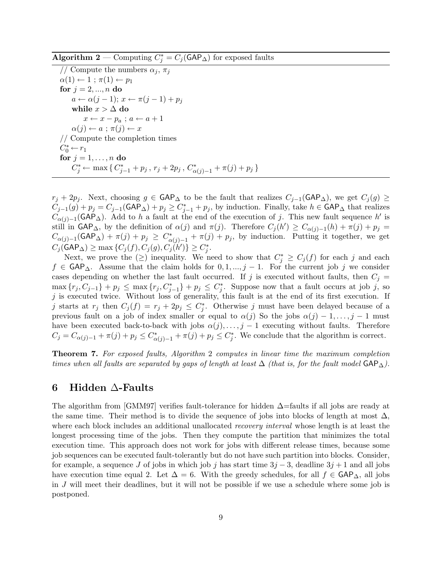Algorithm 2 — Computing  $C_j^* = C_j(\text{GAP}_\Delta)$  for exposed faults

// Compute the numbers  $\alpha_i$ ,  $\pi_i$  $\alpha(1) \leftarrow 1$ ;  $\pi(1) \leftarrow p_1$ for  $j = 2, ..., n$  do  $a \leftarrow \alpha(j-1); x \leftarrow \pi(j-1) + p_j$ while  $x>\Delta$ do  $x \leftarrow x - p_a$ ;  $a \leftarrow a + 1$  $\alpha(j) \leftarrow a$ ;  $\pi(j) \leftarrow x$ // Compute the completion times  $C_0^* \leftarrow r_1$ for  $j = 1, \ldots, n$  do C<sup>\*</sup><sub>j</sub> ← max { C<sup>\*</sup><sub>j</sub>-<sub>1</sub> + p<sub>j</sub>, r<sub>j</sub> + 2p<sub>j</sub>, C<sup>\*</sup><sub>α</sub><sub>(j)-1</sub> + π(j) + p<sub>j</sub> }

 $r_j + 2p_j$ . Next, choosing  $g \in \text{GAP}_\Delta$  to be the fault that realizes  $C_{j-1}(\text{GAP}_\Delta)$ , we get  $C_j(g) \ge$  $C_{j-1}(g) + p_j = C_{j-1}(\textsf{GAP}_{\Delta}) + p_j \geq C_{j-1}^* + p_j$ , by induction. Finally, take  $h \in \textsf{GAP}_{\Delta}$  that realizes  $C_{\alpha(j)-1}(\textsf{GAP}_{\Delta})$ . Add to h a fault at the end of the execution of j. This new fault sequence h' is still in  $\mathsf{GAP}_{\Delta}$ , by the definition of  $\alpha(j)$  and  $\pi(j)$ . Therefore  $C_j(h') \geq C_{\alpha(j)-1}(h) + \pi(j) + p_j =$  $C_{\alpha(j)-1}(\textsf{GAP}_{\Delta}) + \pi(j) + p_j \geq C_{\alpha(j)-1}^* + \pi(j) + p_j$ , by induction. Putting it together, we get  $C_j(\mathsf{GAP}_\Delta) \ge \max\left\{C_j(f),C_j(g),C_j(h')\right\} \ge C_j^*.$ 

Next, we prove the  $(\ge)$  inequality. We need to show that  $C_j^* \geq C_j(f)$  for each j and each  $f \in \mathsf{GAP}_{\Delta}$ . Assume that the claim holds for  $0, 1, ..., j-1$ . For the current job j we consider cases depending on whether the last fault occurred. If j is executed without faults, then  $C_j =$  $\max\{r_j,C_{j-1}\}+p_j\leq \max\{r_j,C_{j-1}^*\}+p_j\leq C_j^*$ . Suppose now that a fault occurs at job j, so  $j$  is executed twice. Without loss of generality, this fault is at the end of its first execution. If j starts at  $r_j$  then  $C_j(f) = r_j + 2p_j \leq C_j^*$ . Otherwise j must have been delayed because of a previous fault on a job of index smaller or equal to  $\alpha(j)$  So the jobs  $\alpha(j) - 1, \ldots, j - 1$  must have been executed back-to-back with jobs  $\alpha(j), \ldots, j-1$  executing without faults. Therefore  $C_j = C_{\alpha(j)-1} + \pi(j) + p_j \leq C_{\alpha(j)-1}^* + \pi(j) + p_j \leq C_j^*$ . We conclude that the algorithm is correct.

Theorem 7. For exposed faults, Algorithm 2 computes in linear time the maximum completion times when all faults are separated by gaps of length at least  $\Delta$  (that is, for the fault model  $\mathsf{GAP}_{\Delta}$ ).

#### 6 Hidden ∆-Faults

The algorithm from [GMM97] verifies fault-tolerance for hidden  $\Delta$ =faults if all jobs are ready at the same time. Their method is to divide the sequence of jobs into blocks of length at most  $\Delta$ , where each block includes an additional unallocated *recovery interval* whose length is at least the longest processing time of the jobs. Then they compute the partition that minimizes the total execution time. This approach does not work for jobs with different release times, because some job sequences can be executed fault-tolerantly but do not have such partition into blocks. Consider, for example, a sequence J of jobs in which job j has start time  $3j - 3$ , deadline  $3j + 1$  and all jobs have execution time equal 2. Let  $\Delta = 6$ . With the greedy schedules, for all  $f \in \mathsf{GAP}_{\Delta}$ , all jobs in J will meet their deadlines, but it will not be possible if we use a schedule where some job is postponed.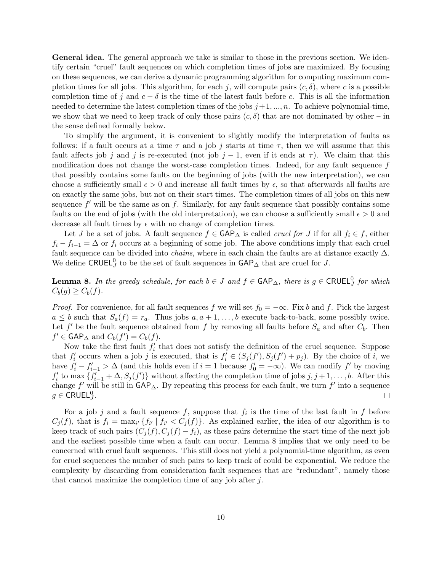General idea. The general approach we take is similar to those in the previous section. We identify certain "cruel" fault sequences on which completion times of jobs are maximized. By focusing on these sequences, we can derive a dynamic programming algorithm for computing maximum completion times for all jobs. This algorithm, for each j, will compute pairs  $(c, \delta)$ , where c is a possible completion time of j and  $c - \delta$  is the time of the latest fault before c. This is all the information needed to determine the latest completion times of the jobs  $j+1, ..., n$ . To achieve polynomial-time, we show that we need to keep track of only those pairs  $(c, \delta)$  that are not dominated by other – in the sense defined formally below.

To simplify the argument, it is convenient to slightly modify the interpretation of faults as follows: if a fault occurs at a time  $\tau$  and a job j starts at time  $\tau$ , then we will assume that this fault affects job j and j is re-executed (not job j – 1, even if it ends at  $\tau$ ). We claim that this modification does not change the worst-case completion times. Indeed, for any fault sequence f that possibly contains some faults on the beginning of jobs (with the new interpretation), we can choose a sufficiently small  $\epsilon > 0$  and increase all fault times by  $\epsilon$ , so that afterwards all faults are on exactly the same jobs, but not on their start times. The completion times of all jobs on this new sequence  $f'$  will be the same as on  $f$ . Similarly, for any fault sequence that possibly contains some faults on the end of jobs (with the old interpretation), we can choose a sufficiently small  $\epsilon > 0$  and decrease all fault times by  $\epsilon$  with no change of completion times.

Let J be a set of jobs. A fault sequence  $f \in \mathsf{GAP}_{\Delta}$  is called *cruel for J* if for all  $f_i \in f$ , either  $f_i - f_{i-1} = \Delta$  or  $f_i$  occurs at a beginning of some job. The above conditions imply that each cruel fault sequence can be divided into *chains*, where in each chain the faults are at distance exactly  $\Delta$ . We define CRUEL<sup>0</sup> to be the set of fault sequences in  $\mathsf{GAP}_{\Delta}$  that are cruel for J.

**Lemma 8.** In the greedy schedule, for each  $b \in J$  and  $f \in \text{GAP}_{\Delta}$ , there is  $g \in \text{CRUEL}_{J}^{0}$  for which  $C_b(g) \geq C_b(f)$ .

*Proof.* For convenience, for all fault sequences f we will set  $f_0 = -\infty$ . Fix b and f. Pick the largest  $a \leq b$  such that  $S_a(f) = r_a$ . Thus jobs  $a, a+1, \ldots, b$  execute back-to-back, some possibly twice. Let  $f'$  be the fault sequence obtained from f by removing all faults before  $S_a$  and after  $C_b$ . Then  $f' \in \mathsf{GAP}_{\Delta}$  and  $C_b(f') = C_b(f)$ .

Now take the first fault  $f_i'$  that does not satisfy the definition of the cruel sequence. Suppose that  $f'_i$  occurs when a job j is executed, that is  $f'_i \in (S_j(f'), S_j(f') + p_j)$ . By the choice of i, we have  $f'_i - f'_{i-1} > \Delta$  (and this holds even if  $i = 1$  because  $f'_0 = -\infty$ ). We can modify f' by moving  $f'_i$  to max  $\{f'_{i-1} + \Delta, S_j(f')\}$  without affecting the completion time of jobs  $j, j+1, \ldots, b$ . After this change f' will be still in  $\mathsf{GAP}_{\Delta}$ . By repeating this process for each fault, we turn f' into a sequence  $g \in \mathsf{CRUEL}_J^0$ .  $\Box$ 

For a job j and a fault sequence f, suppose that  $f_i$  is the time of the last fault in f before  $C_j(f)$ , that is  $f_i = \max_{i'} {f_{i'} | f_{i'} < C_j(f)}$ . As explained earlier, the idea of our algorithm is to keep track of such pairs  $(C_i(f), C_j(f) - f_i)$ , as these pairs determine the start time of the next job and the earliest possible time when a fault can occur. Lemma 8 implies that we only need to be concerned with cruel fault sequences. This still does not yield a polynomial-time algorithm, as even for cruel sequences the number of such pairs to keep track of could be exponential. We reduce the complexity by discarding from consideration fault sequences that are "redundant", namely those that cannot maximize the completion time of any job after j.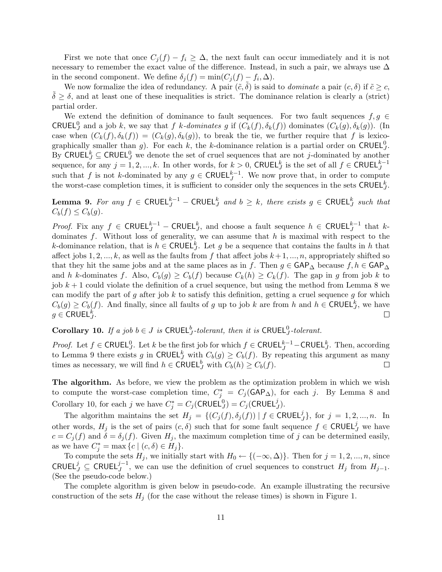First we note that once  $C_j(f) - f_i \geq \Delta$ , the next fault can occur immediately and it is not necessary to remember the exact value of the difference. Instead, in such a pair, we always use  $\Delta$ in the second component. We define  $\delta_j(f) = \min(C_j(f) - f_i, \Delta)$ .

We now formalize the idea of redundancy. A pair  $(\tilde{c}, \delta)$  is said to *dominate* a pair  $(c, \delta)$  if  $\tilde{c} \geq c$ ,  $\delta \geq \delta$ , and at least one of these inequalities is strict. The dominance relation is clearly a (strict) partial order.

We extend the definition of dominance to fault sequences. For two fault sequences  $f, g \in$ CRUEL<sup>0</sup> and a job k, we say that f k-dominates g if  $(C_k(f), \delta_k(f))$  dominates  $(C_k(g), \delta_k(g))$ . (In case when  $(C_k(f), \delta_k(f)) = (C_k(g), \delta_k(g))$ , to break the tie, we further require that f is lexicographically smaller than g). For each k, the k-dominance relation is a partial order on CRUEL<sup>0</sup>. By CRUEL<sup> $k$ </sup>  $\subseteq$  CRUEL<sup>0</sup>, we denote the set of cruel sequences that are not *j*-dominated by another sequence, for any  $j = 1, 2, ..., k$ . In other words, for  $k > 0$ , CRUEL<sup>k</sup> is the set of all  $f \in \mathsf{CRUEL}_J^{k-1}$ such that f is not k-dominated by any  $g \in \text{CRUEL}_J^{k-1}$ . We now prove that, in order to compute the worst-case completion times, it is sufficient to consider only the sequences in the sets  $\text{CRUEL}_J^k$ .

**Lemma 9.** For any  $f \in \mathsf{CRUEL}_J^{k-1}$  –  $\mathsf{CRUEL}_J^k$  and  $b \geq k$ , there exists  $g \in \mathsf{CRUEL}_J^k$  such that  $C_b(f) \leq C_b(g)$ .

*Proof.* Fix any  $f \in \text{CRUEL}_{J}^{k-1}$  – CRUEL<sup>k</sup>, and choose a fault sequence  $h \in \text{CRUEL}_{J}^{k-1}$  that kdominates  $f$ . Without loss of generality, we can assume that  $h$  is maximal with respect to the k-dominance relation, that is  $h \in \text{CRUEL}_{J}^{k}$ . Let g be a sequence that contains the faults in h that affect jobs 1, 2, ..., k, as well as the faults from f that affect jobs  $k+1, ..., n$ , appropriately shifted so that they hit the same jobs and at the same places as in f. Then  $g \in \mathsf{GAP}_{\Delta}$  because  $f, h \in \mathsf{GAP}_{\Delta}$ and h k-dominates f. Also,  $C_b(g) \geq C_b(f)$  because  $C_k(h) \geq C_k(f)$ . The gap in g from job k to job  $k+1$  could violate the definition of a cruel sequence, but using the method from Lemma 8 we can modify the part of g after job k to satisfy this definition, getting a cruel sequence g for which  $C_b(g) \geq C_b(f)$ . And finally, since all faults of g up to job k are from h and  $h \in \mathsf{CRUEL}_J^k$ , we have  $g \in \mathsf{CRUEL}_J^k$ .  $\Box$ 

**Corollary 10.** If a job  $b \in J$  is CRUEL<sup>b</sup><sub>J</sub>-tolerant, then it is CRUEL<sup>0</sup><sub>J</sub>-tolerant.

*Proof.* Let  $f \in \text{CRUEL}_J^0$ . Let k be the first job for which  $f \in \text{CRUEL}_J^{k-1}$  – CRUEL<sup>k</sup>, Then, according to Lemma 9 there exists g in CRUEL<sup>k</sup>, with  $C_b(g) \geq C_b(f)$ . By repeating this argument as many times as necessary, we will find  $h \in \text{CRUEL}_J^b$  with  $C_b(h) \geq C_b(f)$ .  $\Box$ 

The algorithm. As before, we view the problem as the optimization problem in which we wish to compute the worst-case completion time,  $C_j^* = C_j(\text{GAP}_\Delta)$ , for each j. By Lemma 8 and Corollary 10, for each j we have  $C_j^* = C_j(\text{CRUEL}_J^0) = C_j(\text{CRUEL}_J^j)$ .

The algorithm maintains the set  $H_j = \{(C_j(f), \delta_j(f)) | f \in \mathsf{CRUEL}_j^j\}$ , for  $j = 1, 2, ..., n$ . In other words,  $H_j$  is the set of pairs  $(c, \delta)$  such that for some fault sequence  $f \in \mathsf{CRUEL}^j_J$  we have  $c = C_j(f)$  and  $\delta = \delta_j(f)$ . Given  $H_j$ , the maximum completion time of j can be determined easily, as we have  $C_j^* = \max\{c \mid (c, \delta) \in H_j\}.$ 

To compute the sets  $H_j$ , we initially start with  $H_0 \leftarrow \{(-\infty, \Delta)\}\.$  Then for  $j = 1, 2, ..., n$ , since CRUEL<sup>j</sup> ⊆ CRUEL<sup>j-1</sup>, we can use the definition of cruel sequences to construct  $H_j$  from  $H_{j-1}$ . (See the pseudo-code below.)

The complete algorithm is given below in pseudo-code. An example illustrating the recursive construction of the sets  $H_j$  (for the case without the release times) is shown in Figure 1.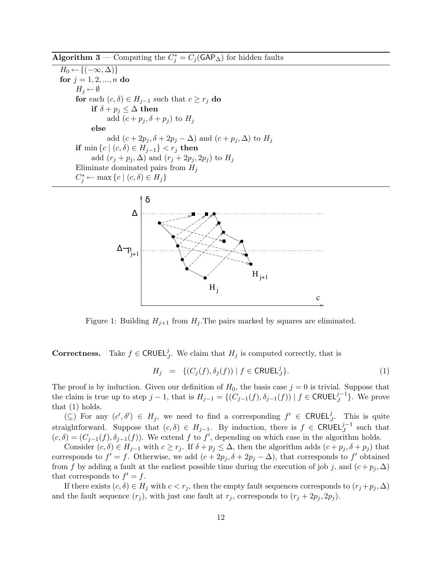Algorithm 3 — Computing the  $C_j^* = C_j(\text{GAP}_\Delta)$  for hidden faults

 $H_0 \leftarrow \{(-\infty, \Delta)\}\$ for  $j = 1, 2, ..., n$  do  $H_j \leftarrow \emptyset$ for each  $(c, \delta) \in H_{j-1}$  such that  $c \geq r_j$  do if  $\delta + p_j \leq \Delta$  then add  $(c + p_j, \delta + p_j)$  to  $H_j$ else add  $(c + 2p_j, \delta + 2p_j - \Delta)$  and  $(c + p_j, \Delta)$  to  $H_j$ if min  $\{c \mid (c, \delta) \in H_{j-1}\} < r_j$  then add  $(r_j + p_j, \Delta)$  and  $(r_j + 2p_j, 2p_j)$  to  $H_j$ Eliminated pairs from  $H_i$  $C_j^* \leftarrow \max \{c \mid (c, \delta) \in H_j\}$ 



Figure 1: Building  $H_{j+1}$  from  $H_j$ . The pairs marked by squares are eliminated.

**Correctness.** Take  $f \in \text{CRUEL}_{J}^{j}$ . We claim that  $H_j$  is computed correctly, that is

$$
H_j = \{ (C_j(f), \delta_j(f)) \mid f \in \mathsf{CRUEL}_J^j \}. \tag{1}
$$

The proof is by induction. Given our definition of  $H_0$ , the basis case  $j = 0$  is trivial. Suppose that the claim is true up to step  $j-1$ , that is  $H_{j-1} = \{ (C_{j-1}(f), \delta_{j-1}(f)) \mid f \in \mathsf{CRUEL}^{j-1}_{J} \}$ . We prove that (1) holds.

 $(\subseteq)$  For any  $(c', \delta') \in H_j$ , we need to find a corresponding  $f' \in \mathsf{CRUEL}_j^j$ . This is quite straightforward. Suppose that  $(c, \delta) \in H_{j-1}$ . By induction, there is  $f \in \mathsf{CRUEL}^{j-1}_{J}$  such that  $(c, \delta) = (C_{j-1}(f), \delta_{j-1}(f))$ . We extend f to f', depending on which case in the algorithm holds.

Consider  $(c, \delta) \in H_{j-1}$  with  $c \geq r_j$ . If  $\delta + p_j \leq \Delta$ , then the algorithm adds  $(c + p_j, \delta + p_j)$  that corresponds to  $f' = f$ . Otherwise, we add  $(c + 2p_j, \delta + 2p_j - \Delta)$ , that corresponds to f' obtained from f by adding a fault at the earliest possible time during the execution of job j, and  $(c + p_i, \Delta)$ that corresponds to  $f' = f$ .

If there exists  $(c, \delta) \in H_j$  with  $c < r_j$ , then the empty fault sequences corresponds to  $(r_j + p_j, \Delta)$ and the fault sequence  $(r_j)$ , with just one fault at  $r_j$ , corresponds to  $(r_j + 2p_j, 2p_j)$ .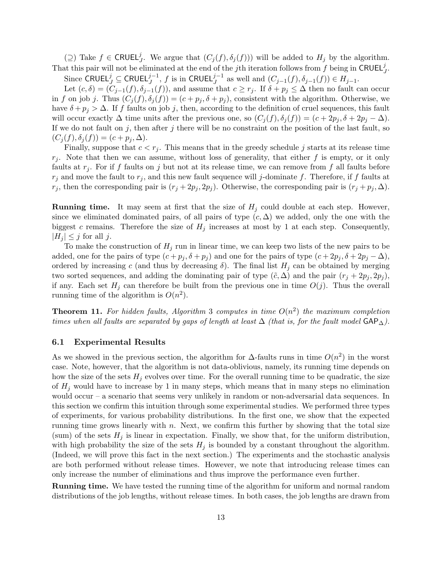(⊇) Take  $f \in \mathsf{CRUEL}^j_J$ . We argue that  $(C_j(f), \delta_j(f))$  will be added to  $H_j$  by the algorithm. That this pair will not be eliminated at the end of the jth iteration follows from  $f$  being in CRUEL<sup>j</sup>. Since CRUEL $j \subseteq \text{CRUEL}_{J}^{j-1}$ , f is in CRUEL $_{J}^{j-1}$  as well and  $(C_{j-1}(f), \delta_{j-1}(f)) \in H_{j-1}$ .

Let  $(c, \delta) = (C_{j-1}(f), \delta_{j-1}(f))$ , and assume that  $c \geq r_j$ . If  $\delta + p_j \leq \Delta$  then no fault can occur in f on job j. Thus  $(C_j(f), \delta_j(f)) = (c + p_j, \delta + p_j)$ , consistent with the algorithm. Otherwise, we have  $\delta + p_i > \Delta$ . If f faults on job j, then, according to the definition of cruel sequences, this fault will occur exactly  $\Delta$  time units after the previous one, so  $(C_j(f), \delta_j(f)) = (c + 2p_j, \delta + 2p_j - \Delta)$ . If we do not fault on  $j$ , then after  $j$  there will be no constraint on the position of the last fault, so  $(C_i (f), \delta_i (f)) = (c + p_i, \Delta).$ 

Finally, suppose that  $c < r_j$ . This means that in the greedy schedule j starts at its release time  $r_i$ . Note that then we can assume, without loss of generality, that either f is empty, or it only faults at  $r_i$ . For if f faults on j but not at its release time, we can remove from f all faults before  $r_j$  and move the fault to  $r_j$ , and this new fault sequence will j-dominate f. Therefore, if f faults at  $r_j$ , then the corresponding pair is  $(r_j + 2p_j, 2p_j)$ . Otherwise, the corresponding pair is  $(r_j + p_j, \Delta)$ .

**Running time.** It may seem at first that the size of  $H_i$  could double at each step. However, since we eliminated dominated pairs, of all pairs of type  $(c, \Delta)$  we added, only the one with the biggest c remains. Therefore the size of  $H_j$  increases at most by 1 at each step. Consequently,  $|H_j| \leq j$  for all j.

To make the construction of  $H_i$  run in linear time, we can keep two lists of the new pairs to be added, one for the pairs of type  $(c + p_j, \delta + p_j)$  and one for the pairs of type  $(c + 2p_j, \delta + 2p_j - \Delta)$ , ordered by increasing c (and thus by decreasing  $\delta$ ). The final list  $H_j$  can be obtained by merging two sorted sequences, and adding the dominating pair of type  $(\tilde{c}, \Delta)$  and the pair  $(r_i + 2p_i, 2p_i)$ , if any. Each set  $H_j$  can therefore be built from the previous one in time  $O(j)$ . Thus the overall running time of the algorithm is  $O(n^2)$ .

**Theorem 11.** For hidden faults, Algorithm 3 computes in time  $O(n^2)$  the maximum completion times when all faults are separated by gaps of length at least  $\Delta$  (that is, for the fault model  $\mathsf{GAP}_{\Delta}$ ).

#### 6.1 Experimental Results

As we showed in the previous section, the algorithm for  $\Delta$ -faults runs in time  $O(n^2)$  in the worst case. Note, however, that the algorithm is not data-oblivious, namely, its running time depends on how the size of the sets  $H_j$  evolves over time. For the overall running time to be quadratic, the size of  $H_j$  would have to increase by 1 in many steps, which means that in many steps no elimination would occur – a scenario that seems very unlikely in random or non-adversarial data sequences. In this section we confirm this intuition through some experimental studies. We performed three types of experiments, for various probability distributions. In the first one, we show that the expected running time grows linearly with  $n$ . Next, we confirm this further by showing that the total size (sum) of the sets  $H_j$  is linear in expectation. Finally, we show that, for the uniform distribution, with high probability the size of the sets  $H_j$  is bounded by a constant throughout the algorithm. (Indeed, we will prove this fact in the next section.) The experiments and the stochastic analysis are both performed without release times. However, we note that introducing release times can only increase the number of eliminations and thus improve the performance even further.

Running time. We have tested the running time of the algorithm for uniform and normal random distributions of the job lengths, without release times. In both cases, the job lengths are drawn from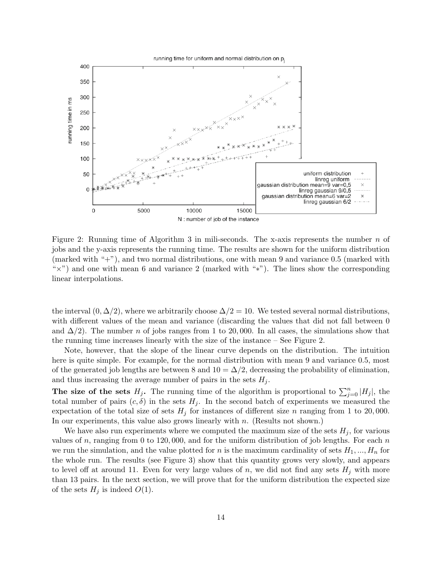

Figure 2: Running time of Algorithm 3 in mili-seconds. The x-axis represents the number  $n$  of jobs and the y-axis represents the running time. The results are shown for the uniform distribution (marked with "+"), and two normal distributions, one with mean 9 and variance 0.5 (marked with "×") and one with mean 6 and variance 2 (marked with "∗"). The lines show the corresponding linear interpolations.

the interval  $(0, \Delta/2)$ , where we arbitrarily choose  $\Delta/2 = 10$ . We tested several normal distributions, with different values of the mean and variance (discarding the values that did not fall between 0 and  $\Delta/2$ ). The number n of jobs ranges from 1 to 20,000. In all cases, the simulations show that the running time increases linearly with the size of the instance – See Figure 2.

Note, however, that the slope of the linear curve depends on the distribution. The intuition here is quite simple. For example, for the normal distribution with mean 9 and variance 0.5, most of the generated job lengths are between 8 and  $10 = \Delta/2$ , decreasing the probability of elimination, and thus increasing the average number of pairs in the sets  $H_i$ .

The size of the sets  $H_j$ . The running time of the algorithm is proportional to  $\sum_{j=0}^n |H_j|$ , the total number of pairs  $(c, \delta)$  in the sets  $H_j$ . In the second batch of experiments we measured the expectation of the total size of sets  $H_j$  for instances of different size n ranging from 1 to 20,000. In our experiments, this value also grows linearly with n. (Results not shown.)

We have also run experiments where we computed the maximum size of the sets  $H_i$ , for various values of n, ranging from 0 to 120,000, and for the uniform distribution of job lengths. For each  $n$ we run the simulation, and the value plotted for n is the maximum cardinality of sets  $H_1, ..., H_n$  for the whole run. The results (see Figure 3) show that this quantity grows very slowly, and appears to level off at around 11. Even for very large values of n, we did not find any sets  $H_j$  with more than 13 pairs. In the next section, we will prove that for the uniform distribution the expected size of the sets  $H_j$  is indeed  $O(1)$ .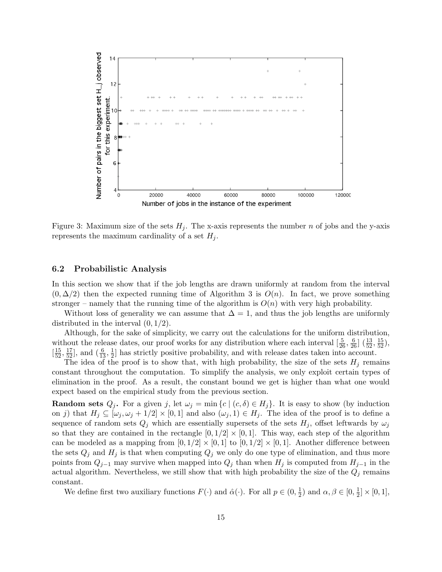

Figure 3: Maximum size of the sets  $H_i$ . The x-axis represents the number n of jobs and the y-axis represents the maximum cardinality of a set  $H_i$ .

#### 6.2 Probabilistic Analysis

In this section we show that if the job lengths are drawn uniformly at random from the interval  $(0, \Delta/2)$  then the expected running time of Algorithm 3 is  $O(n)$ . In fact, we prove something stronger – namely that the running time of the algorithm is  $O(n)$  with very high probability.

Without loss of generality we can assume that  $\Delta = 1$ , and thus the job lengths are uniformly distributed in the interval  $(0, 1/2)$ .

Although, for the sake of simplicity, we carry out the calculations for the uniform distribution, without the release dates, our proof works for any distribution where each interval  $\left[\frac{5}{26}, \frac{6}{26}\right]$   $\left(\frac{13}{52}, \frac{15}{52}\right)$ ,  $\left[\frac{15}{52}, \frac{17}{52}\right]$ , and  $\left(\frac{6}{13}, \frac{1}{2}\right)$  $\frac{1}{2}$  has strictly positive probability, and with release dates taken into account.

The idea of the proof is to show that, with high probability, the size of the sets  $H_j$  remains constant throughout the computation. To simplify the analysis, we only exploit certain types of elimination in the proof. As a result, the constant bound we get is higher than what one would expect based on the empirical study from the previous section.

**Random sets**  $Q_j$ . For a given j, let  $\omega_j = \min\{c \mid (c, \delta) \in H_j\}$ . It is easy to show (by induction on j) that  $H_j \subseteq [\omega_j, \omega_j + 1/2] \times [0, 1]$  and also  $(\omega_j, 1) \in H_j$ . The idea of the proof is to define a sequence of random sets  $Q_j$  which are essentially supersets of the sets  $H_j$ , offset leftwards by  $\omega_j$ so that they are contained in the rectangle  $[0, 1/2] \times [0, 1]$ . This way, each step of the algorithm can be modeled as a mapping from  $[0, 1/2] \times [0, 1]$  to  $[0, 1/2] \times [0, 1]$ . Another difference between the sets  $Q_j$  and  $H_j$  is that when computing  $Q_j$  we only do one type of elimination, and thus more points from  $Q_{j-1}$  may survive when mapped into  $Q_j$  than when  $H_j$  is computed from  $H_{j-1}$  in the actual algorithm. Nevertheless, we still show that with high probability the size of the  $Q_j$  remains constant.

We define first two auxiliary functions  $F(\cdot)$  and  $\hat{\alpha}(\cdot)$ . For all  $p \in (0, \frac{1}{2})$  $(\frac{1}{2})$  and  $\alpha, \beta \in [0, \frac{1}{2})$  $\frac{1}{2}]\times [0,1],$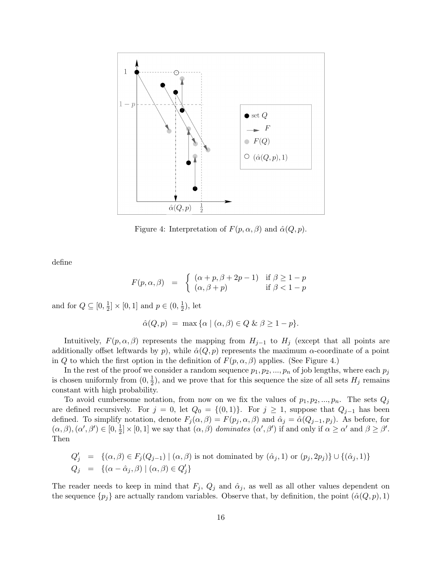

Figure 4: Interpretation of  $F(p, \alpha, \beta)$  and  $\hat{\alpha}(Q, p)$ .

define

$$
F(p, \alpha, \beta) = \begin{cases} (\alpha + p, \beta + 2p - 1) & \text{if } \beta \ge 1 - p \\ (\alpha, \beta + p) & \text{if } \beta < 1 - p \end{cases}
$$

and for  $Q \subseteq [0, \frac{1}{2}]$  $\frac{1}{2} \times [0,1]$  and  $p \in (0, \frac{1}{2}]$  $(\frac{1}{2})$ , let

$$
\hat{\alpha}(Q, p) = \max \{ \alpha \mid (\alpha, \beta) \in Q \& \beta \ge 1 - p \}.
$$

Intuitively,  $F(p, \alpha, \beta)$  represents the mapping from  $H_{j-1}$  to  $H_j$  (except that all points are additionally offset leftwards by p), while  $\hat{\alpha}(Q, p)$  represents the maximum  $\alpha$ -coordinate of a point in Q to which the first option in the definition of  $F(p, \alpha, \beta)$  applies. (See Figure 4.)

In the rest of the proof we consider a random sequence  $p_1, p_2, ..., p_n$  of job lengths, where each  $p_j$ is chosen uniformly from  $(0, \frac{1}{2})$  $\frac{1}{2}$ , and we prove that for this sequence the size of all sets  $H_j$  remains constant with high probability.

To avoid cumbersome notation, from now on we fix the values of  $p_1, p_2, ..., p_n$ . The sets  $Q_j$ are defined recursively. For  $j = 0$ , let  $Q_0 = \{(0, 1)\}\$ . For  $j \geq 1$ , suppose that  $Q_{j-1}$  has been defined. To simplify notation, denote  $F_j(\alpha, \beta) = F(p_j, \alpha, \beta)$  and  $\hat{\alpha}_j = \hat{\alpha}(Q_{j-1}, p_j)$ . As before, for  $(\alpha, \beta), (\alpha', \beta') \in [0, \frac{1}{2}]$  $\frac{1}{2} \times [0,1]$  we say that  $(\alpha, \beta)$  dominates  $(\alpha', \beta')$  if and only if  $\alpha \geq \alpha'$  and  $\beta \geq \beta'$ . Then

$$
Q'_j = \{(\alpha, \beta) \in F_j(Q_{j-1}) \mid (\alpha, \beta) \text{ is not dominated by } (\hat{\alpha}_j, 1) \text{ or } (p_j, 2p_j) \} \cup \{(\hat{\alpha}_j, 1)\}
$$
  

$$
Q_j = \{(\alpha - \hat{\alpha}_j, \beta) \mid (\alpha, \beta) \in Q'_j\}
$$

The reader needs to keep in mind that  $F_j$ ,  $Q_j$  and  $\hat{\alpha}_j$ , as well as all other values dependent on the sequence  $\{p_j\}$  are actually random variables. Observe that, by definition, the point  $(\hat{\alpha}(Q, p), 1)$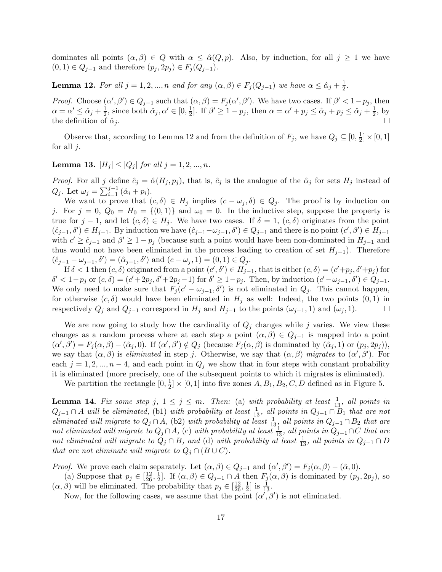dominates all points  $(\alpha, \beta) \in Q$  with  $\alpha \leq \hat{\alpha}(Q, p)$ . Also, by induction, for all  $j \geq 1$  we have  $(0, 1) \in Q_{j-1}$  and therefore  $(p_j, 2p_j) \in F_j(Q_{j-1}).$ 

**Lemma 12.** For all  $j = 1, 2, ..., n$  and for any  $(\alpha, \beta) \in F_j(Q_{j-1})$  we have  $\alpha \leq \hat{\alpha}_j + \frac{1}{2}$  $\frac{1}{2}$ .

*Proof.* Choose  $(\alpha', \beta') \in Q_{j-1}$  such that  $(\alpha, \beta) = F_j(\alpha', \beta')$ . We have two cases. If  $\beta' < 1-p_j$ , then  $\alpha = \alpha' \leq \hat{\alpha}_j + \frac{1}{2}$  $\frac{1}{2}$ , since both  $\hat{\alpha}_j, \alpha' \in [0, \frac{1}{2}]$  $\frac{1}{2}$ . If  $\beta' \ge 1 - p_j$ , then  $\alpha = \alpha' + p_j \le \hat{\alpha}_j + p_j \le \hat{\alpha}_j + \frac{1}{2}$  $\frac{1}{2}$ , by the definition of  $\hat{\alpha}_i$ .

Observe that, according to Lemma 12 and from the definition of  $F_j$ , we have  $Q_j \subseteq [0, \frac{1}{2}]$  $\frac{1}{2}]\times [0,1]$ for all  $j$ .

**Lemma 13.**  $|H_j| \leq |Q_j|$  for all  $j = 1, 2, ..., n$ .

*Proof.* For all j define  $\hat{c}_j = \hat{\alpha}(H_j, p_j)$ , that is,  $\hat{c}_j$  is the analogue of the  $\hat{\alpha}_j$  for sets  $H_j$  instead of  $Q_j$ . Let  $\omega_j = \sum_{i=1}^{j-1} (\hat{\alpha}_i + p_i)$ .

We want to prove that  $(c, \delta) \in H_j$  implies  $(c - \omega_j, \delta) \in Q_j$ . The proof is by induction on j. For  $j = 0$ ,  $Q_0 = H_0 = \{(0, 1)\}\$ and  $\omega_0 = 0$ . In the inductive step, suppose the property is true for  $j-1$ , and let  $(c, \delta) \in H_j$ . We have two cases. If  $\delta = 1$ ,  $(c, \delta)$  originates from the point  $(\hat{c}_{j-1},\delta') \in H_{j-1}$ . By induction we have  $(\hat{c}_{j-1}-\omega_{j-1},\delta') \in Q_{j-1}$  and there is no point  $(c',\beta') \in H_{j-1}$ with  $c' \geq c_{j-1}$  and  $\beta' \geq 1 - p_j$  (because such a point would have been non-dominated in  $H_{j-1}$  and thus would not have been eliminated in the process leading to creation of set  $H_{j-1}$ ). Therefore  $(\hat{c}_{j-1} - \omega_{j-1}, \delta') = (\hat{\alpha}_{j-1}, \delta') \text{ and } (c - \omega_j, 1) = (0, 1) \in Q_j.$ 

If  $\delta < 1$  then  $(c, \delta)$  originated from a point  $(c', \delta') \in H_{j-1}$ , that is either  $(c, \delta) = (c' + p_j, \delta' + p_j)$  for  $\delta' < 1-p_j$  or  $(c, \delta) = (c'+2p_j, \delta'+2p_j-1)$  for  $\delta' \geq 1-p_j$ . Then, by induction  $(c'-\omega_{j-1}, \delta') \in Q_{j-1}$ . We only need to make sure that  $F_j(c' - \omega_{j-1}, \delta')$  is not eliminated in  $Q_j$ . This cannot happen, for otherwise  $(c, \delta)$  would have been eliminated in  $H_i$  as well: Indeed, the two points  $(0, 1)$  in respectively  $Q_j$  and  $Q_{j-1}$  correspond in  $H_j$  and  $H_{j-1}$  to the points  $(\omega_{j-1}, 1)$  and  $(\omega_j, 1)$ .  $\Box$ 

We are now going to study how the cardinality of  $Q_j$  changes while j varies. We view these changes as a random process where at each step a point  $(\alpha, \beta) \in Q_{j-1}$  is mapped into a point  $(\alpha', \beta') = F_j(\alpha, \beta) - (\hat{\alpha}_j, 0)$ . If  $(\alpha', \beta') \notin Q_j$  (because  $F_j(\alpha, \beta)$  is dominated by  $(\hat{\alpha}_j, 1)$  or  $(p_j, 2p_j)$ ), we say that  $(\alpha, \beta)$  is *eliminated* in step j. Otherwise, we say that  $(\alpha, \beta)$  migrates to  $(\alpha', \beta')$ . For each  $j = 1, 2, ..., n - 4$ , and each point in  $Q_j$  we show that in four steps with constant probability it is eliminated (more precisely, one of the subsequent points to which it migrates is eliminated).

We partition the rectangle  $[0, \frac{1}{2}]$  $\frac{1}{2} \times [0,1]$  into five zones  $A, B_1, B_2, C, D$  defined as in Figure 5.

**Lemma 14.** Fix some step j,  $1 \leq j \leq m$ . Then: (a) with probability at least  $\frac{1}{13}$ , all points in  $Q_{j-1} \cap A$  will be eliminated, (b1) with probability at least  $\frac{1}{13}$ , all points in  $Q_{j-1} \cap B_1$  that are not eliminated will migrate to  $Q_j \cap A$ , (b2) with probability at least  $\frac{1}{13}$ , all points in  $Q_{j-1} \cap B_2$  that are not eliminated will migrate to  $Q_j \cap A$ , (c) with probability at least  $\frac{1}{13}$ , all points in  $Q_{j-1} \cap C$  that are not eliminated will migrate to  $\tilde{Q}_j \cap B$ , and (d) with probability at least  $\frac{1}{13}$ , all points in  $Q_{j-1} \cap D$ that are not eliminate will migrate to  $Q_j \cap (B \cup C)$ .

*Proof.* We prove each claim separately. Let  $(\alpha, \beta) \in Q_{j-1}$  and  $(\alpha', \beta') = F_j(\alpha, \beta) - (\hat{\alpha}, 0)$ .

(a) Suppose that  $p_j \in \left[\frac{12}{26}, \frac{1}{2}\right]$ <sup>1</sup>/<sub>2</sub>. If  $(\alpha, \beta) \in Q_{j-1} \cap A$  then  $F_j(\alpha, \beta)$  is dominated by  $(p_j, 2p_j)$ , so  $(\alpha, \beta)$  will be eliminated. The probability that  $p_j \in \left[\frac{12}{26}, \frac{1}{2}\right]$  $\frac{1}{2}$  is  $\frac{1}{13}$ .

Now, for the following cases, we assume that the point  $(\alpha', \beta')$  is not eliminated.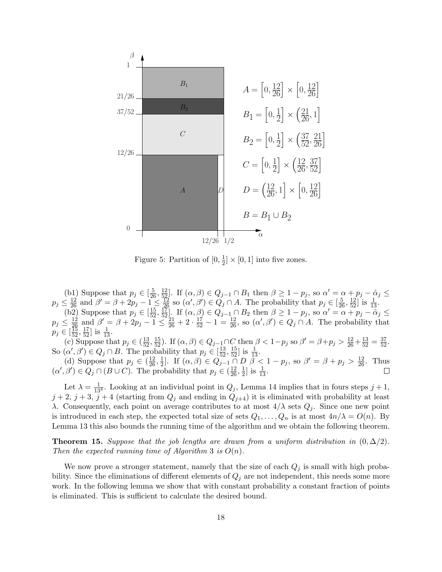

Figure 5: Partition of  $[0, \frac{1}{2}]$  $\frac{1}{2} \times [0,1]$  into five zones.

(b1) Suppose that  $p_j \in \left[\frac{5}{26}, \frac{12}{52}\right]$ . If  $(\alpha, \beta) \in Q_{j-1} \cap B_1$  then  $\beta \geq 1 - p_j$ , so  $\alpha' = \alpha + p_j - \hat{\alpha}_j \leq$  $p_j \leq \frac{12}{26}$  and  $\beta' = \beta + 2p_j - 1 \leq \frac{12}{26}$  so  $(\alpha', \beta') \in Q_j \cap A$ . The probability that  $p_j \in \left[\frac{5}{26}, \frac{12}{52}\right]$  is  $\frac{1}{13}$ .  $\left( \overline{\text{b2}} \right)$  Suppose that  $p_j \in \left[ \frac{15}{52}, \frac{17}{52} \right]$ . If  $\left( \alpha, \beta \right) \in Q_{j-1} \cap B_2$  then  $\beta \geq 1 - p_j$ , so  $\alpha' = \alpha + p_j - \alpha_j \leq \beta$  $p_j \leq \frac{12}{26}$  and  $\beta' = \beta + 2p_j - 1 \leq \frac{21}{26} + 2 \cdot \frac{17}{52} - 1 = \frac{12}{26}$ , so  $(\alpha', \beta') \in Q_j \cap A$ . The probability that

 $p_j \in \left[\frac{15}{52}, \frac{17}{52}\right]$  is  $\frac{1}{13}$ . (c) Suppose that  $p_j \in (\frac{13}{52}, \frac{15}{52})$ . If  $(\alpha, \beta) \in Q_{j-1} \cap C$  then  $\beta < 1-p_j$  so  $\beta' = \beta + p_j > \frac{12}{26} + \frac{13}{52} = \frac{37}{52}$ . So  $(\alpha', \beta') \in Q_j \cap B$ . The probability that  $p_j \in \left[\frac{13}{52}, \frac{15}{52}\right]$  is  $\frac{1}{13}$ .

(d) Suppose that  $p_j \in \left(\frac{12}{26}, \frac{1}{2}\right)$ <sup>1</sup>/<sub>2</sub>]. If  $(α, β) ∈ Q<sub>j-1</sub> ∩ D$   $β<sub>j</sub> < 1 - p<sub>j</sub>$ , so  $β' = β + p<sub>j</sub> > \frac{12}{26}$ . Thus  $(\alpha', \beta') \in Q_j \cap (B \cup C)$ . The probability that  $p_j \in (\frac{12}{26}, \frac{1}{2})$  $\frac{1}{2}$  is  $\frac{1}{13}$ .

Let  $\lambda = \frac{1}{134}$ . Looking at an individual point in  $Q_j$ , Lemma 14 implies that in fours steps  $j + 1$ ,  $j+2$ ,  $j+3$ ,  $j+4$  (starting from  $Q_j$  and ending in  $Q_{j+4}$ ) it is eliminated with probability at least λ. Consequently, each point on average contributes to at most  $4/λ$  sets  $Q<sub>j</sub>$ . Since one new point is introduced in each step, the expected total size of sets  $Q_1, \ldots, Q_n$  is at most  $4n/\lambda = O(n)$ . By Lemma 13 this also bounds the running time of the algorithm and we obtain the following theorem.

**Theorem 15.** Suppose that the job lengths are drawn from a uniform distribution in  $(0, \Delta/2)$ . Then the expected running time of Algorithm 3 is  $O(n)$ .

We now prove a stronger statement, namely that the size of each  $Q_j$  is small with high probability. Since the eliminations of different elements of  $Q_j$  are not independent, this needs some more work. In the following lemma we show that with constant probability a constant fraction of points is eliminated. This is sufficient to calculate the desired bound.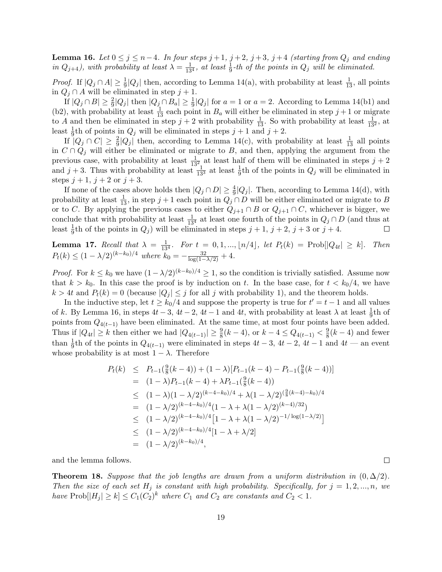**Lemma 16.** Let  $0 \leq j \leq n-4$ . In four steps  $j+1$ ,  $j+2$ ,  $j+3$ ,  $j+4$  (starting from  $Q_j$  and ending in  $Q_{j+4}$ ), with probability at least  $\lambda = \frac{1}{13^4}$ , at least  $\frac{1}{9}$ -th of the points in  $Q_j$  will be eliminated.

*Proof.* If  $|Q_j \cap A| \ge \frac{1}{9}|Q_j|$  then, according to Lemma 14(a), with probability at least  $\frac{1}{13}$ , all points in  $Q_i \cap A$  will be eliminated in step  $j + 1$ .

If  $|Q_j \cap B| \geq \frac{2}{9}|Q_j|$  then  $|Q_j \cap B_a| \geq \frac{1}{9}|Q_j|$  for  $a = 1$  or  $a = 2$ . According to Lemma 14(b1) and (b2), with probability at least  $\frac{1}{13}$  each point in  $B_a$  will either be eliminated in step  $j+1$  or migrate to A and then be eliminated in step  $j + 2$  with probability  $\frac{1}{13}$ . So with probability at least  $\frac{1}{13^2}$ , at least  $\frac{1}{9}$ th of points in  $Q_j$  will be eliminated in steps  $j + 1$  and  $j + 2$ .

If  $|Q_j \cap C| \geq \frac{2}{9}|Q_j|$  then, according to Lemma 14(c), with probability at least  $\frac{1}{13}$  all points in  $C \cap Q_i$  will either be eliminated or migrate to B, and then, applying the argument from the previous case, with probability at least  $\frac{1}{13^2}$  at least half of them will be eliminated in steps  $j + 2$ and  $j+3$ . Thus with probability at least  $\frac{1}{13^3}$  at least  $\frac{1}{9}$ th of the points in  $Q_j$  will be eliminated in steps  $j + 1$ ,  $j + 2$  or  $j + 3$ .

If none of the cases above holds then  $|Q_j \cap D| \geq \frac{4}{9}|Q_j|$ . Then, according to Lemma 14(d), with probability at least  $\frac{1}{13}$ , in step  $j + 1$  each point in  $Q_j \cap D$  will be either eliminated or migrate to B or to C. By applying the previous cases to either  $Q_{j+1} \cap B$  or  $Q_{j+1} \cap C$ , whichever is bigger, we conclude that with probability at least  $\frac{1}{134}$  at least one fourth of the points in  $Q_j \cap D$  (and thus at least  $\frac{1}{9}$ th of the points in  $Q_j$ ) will be eliminated in steps  $j + 1$ ,  $j + 2$ ,  $j + 3$  or  $j + 4$ .  $\Box$ 

**Lemma 17.** Recall that  $\lambda = \frac{1}{13^4}$ . For  $t = 0, 1, ..., \lfloor n/4 \rfloor$ , let  $P_t(k) = \text{Prob}[|Q_{4t}| \ge k]$ . Then  $P_t(k) \leq (1 - \lambda/2)^{(k-k_0)/4}$  where  $k_0 = -\frac{32}{\log(1 - \lambda/2)} + 4$ .

*Proof.* For  $k \leq k_0$  we have  $(1-\lambda/2)^{(k-k_0)/4} \geq 1$ , so the condition is trivially satisfied. Assume now that  $k > k_0$ . In this case the proof is by induction on t. In the base case, for  $t < k_0/4$ , we have  $k > 4t$  and  $P_t(k) = 0$  (because  $|Q_i| \leq j$  for all j with probability 1), and the theorem holds.

In the inductive step, let  $t \geq k_0/4$  and suppose the property is true for  $t' = t - 1$  and all values of k. By Lemma 16, in steps  $4t - 3$ ,  $4t - 2$ ,  $4t - 1$  and  $4t$ , with probability at least  $\lambda$  at least  $\frac{1}{9}$ th of points from  $Q_{4(t-1)}$  have been eliminated. At the same time, at most four points have been added. Thus if  $|Q_{4t}| \ge k$  then either we had  $|Q_{4(t-1)}| \ge \frac{9}{8}(k-4)$ , or  $k-4 \le Q_{4(t-1)} < \frac{9}{8}$  $\frac{9}{8}(k-4)$  and fewer than  $\frac{1}{9}$ th of the points in  $Q_{4(t-1)}$  were eliminated in steps  $4t-3$ ,  $4t-2$ ,  $4t-1$  and  $4t$  — an event whose probability is at most  $1 - \lambda$ . Therefore

$$
P_t(k) \leq P_{t-1}(\frac{9}{8}(k-4)) + (1-\lambda)[P_{t-1}(k-4) - P_{t-1}(\frac{9}{8}(k-4))]
$$
  
\n
$$
= (1-\lambda)P_{t-1}(k-4) + \lambda P_{t-1}(\frac{9}{8}(k-4))
$$
  
\n
$$
\leq (1-\lambda)(1-\lambda/2)^{(k-4-k_0)/4} + \lambda(1-\lambda/2)^{(\frac{9}{8}(k-4)-k_0)/4}
$$
  
\n
$$
= (1-\lambda/2)^{(k-4-k_0)/4}(1-\lambda+\lambda(1-\lambda/2)^{(k-4)/32})
$$
  
\n
$$
\leq (1-\lambda/2)^{(k-4-k_0)/4}[1-\lambda+\lambda(1-\lambda/2)^{-1/\log(1-\lambda/2)}]
$$
  
\n
$$
\leq (1-\lambda/2)^{(k-4-k_0)/4}[1-\lambda+\lambda/2]
$$
  
\n
$$
= (1-\lambda/2)^{(k-k_0)/4},
$$

and the lemma follows.

**Theorem 18.** Suppose that the job lengths are drawn from a uniform distribution in  $(0, \Delta/2)$ . Then the size of each set  $H_j$  is constant with high probability. Specifically, for  $j = 1, 2, ..., n$ , we have  $\text{Prob}[|H_j| \ge k] \le C_1(C_2)^k$  where  $C_1$  and  $C_2$  are constants and  $C_2 < 1$ .

 $\Box$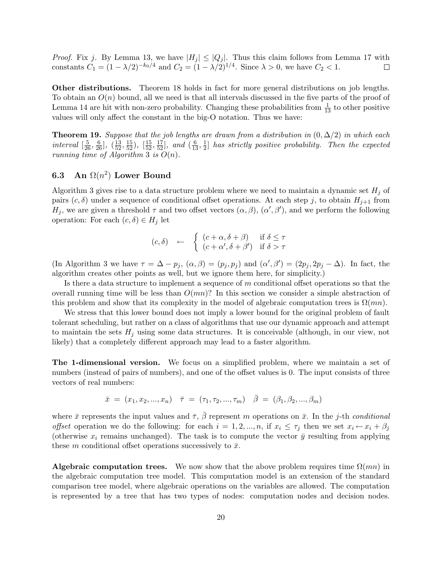*Proof.* Fix j. By Lemma 13, we have  $|H_j| \leq |Q_j|$ . Thus this claim follows from Lemma 17 with constants  $C_1 = (1 - \lambda/2)^{-k_0/4}$  and  $C_2 = (1 - \lambda/2)^{1/4}$ . Since  $\lambda > 0$ , we have  $C_2 < 1$ .

Other distributions. Theorem 18 holds in fact for more general distributions on job lengths. To obtain an  $O(n)$  bound, all we need is that all intervals discussed in the five parts of the proof of Lemma 14 are hit with non-zero probability. Changing these probabilities from  $\frac{1}{13}$  to other positive values will only affect the constant in the big-O notation. Thus we have:

**Theorem 19.** Suppose that the job lengths are drawn from a distribution in  $(0, \Delta/2)$  in which each interval  $\left[\frac{5}{26}, \frac{6}{26}\right]$ ,  $\left(\frac{13}{52}, \frac{15}{52}\right)$ ,  $\left[\frac{15}{52}, \frac{17}{52}\right]$ , and  $\left(\frac{6}{13}, \frac{1}{2}\right)$  $\frac{1}{2}$  has strictly positive probability. Then the expected running time of Algorithm 3 is  $O(n)$ .

# 6.3 An  $\Omega(n^2)$  Lower Bound

Algorithm 3 gives rise to a data structure problem where we need to maintain a dynamic set  $H_i$  of pairs  $(c, \delta)$  under a sequence of conditional offset operations. At each step j, to obtain  $H_{j+1}$  from  $H_j$ , we are given a threshold  $\tau$  and two offset vectors  $(\alpha, \beta), (\alpha', \beta')$ , and we perform the following operation: For each  $(c, \delta) \in H_j$  let

$$
(c, \delta) \leftarrow \begin{cases} (c + \alpha, \delta + \beta) & \text{if } \delta \le \tau \\ (c + \alpha', \delta + \beta') & \text{if } \delta > \tau \end{cases}
$$

(In Algorithm 3 we have  $\tau = \Delta - p_j$ ,  $(\alpha, \beta) = (p_j, p_j)$  and  $(\alpha', \beta') = (2p_j, 2p_j - \Delta)$ . In fact, the algorithm creates other points as well, but we ignore them here, for simplicity.)

Is there a data structure to implement a sequence of m conditional offset operations so that the overall running time will be less than  $O(mn)$ ? In this section we consider a simple abstraction of this problem and show that its complexity in the model of algebraic computation trees is  $\Omega(mn)$ .

We stress that this lower bound does not imply a lower bound for the original problem of fault tolerant scheduling, but rather on a class of algorithms that use our dynamic approach and attempt to maintain the sets  $H_i$  using some data structures. It is conceivable (although, in our view, not likely) that a completely different approach may lead to a faster algorithm.

The 1-dimensional version. We focus on a simplified problem, where we maintain a set of numbers (instead of pairs of numbers), and one of the offset values is 0. The input consists of three vectors of real numbers:

$$
\bar{x} = (x_1, x_2, ..., x_n) \quad \bar{\tau} = (\tau_1, \tau_2, ..., \tau_m) \quad \bar{\beta} = (\beta_1, \beta_2, ..., \beta_m)
$$

where  $\bar{x}$  represents the input values and  $\bar{\tau}$ ,  $\bar{\beta}$  represent m operations on  $\bar{x}$ . In the j-th conditional offset operation we do the following: for each  $i = 1, 2, ..., n$ , if  $x_i \leq \tau_j$  then we set  $x_i \leftarrow x_i + \beta_j$ (otherwise  $x_i$  remains unchanged). The task is to compute the vector  $\bar{y}$  resulting from applying these m conditional offset operations successively to  $\bar{x}$ .

**Algebraic computation trees.** We now show that the above problem requires time  $\Omega(mn)$  in the algebraic computation tree model. This computation model is an extension of the standard comparison tree model, where algebraic operations on the variables are allowed. The computation is represented by a tree that has two types of nodes: computation nodes and decision nodes.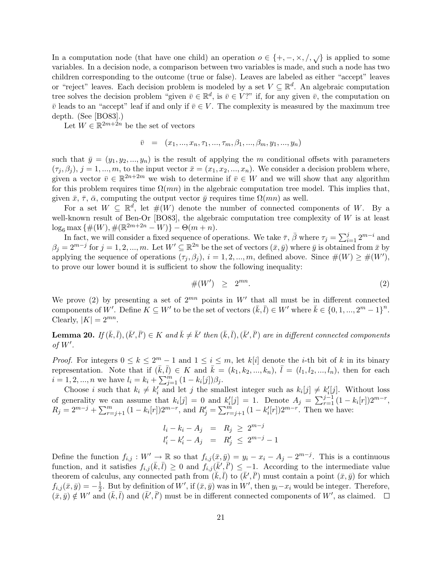In a computation node (that have one child) an operation  $o \in \{+, -, \times, /, \sqrt{\}$  is applied to some variables. In a decision node, a comparison between two variables is made, and such a node has two children corresponding to the outcome (true or false). Leaves are labeled as either "accept" leaves or "reject" leaves. Each decision problem is modeled by a set  $V \subseteq \mathbb{R}^d$ . An algebraic computation tree solves the decision problem "given  $\bar{v} \in \mathbb{R}^d$ , is  $\bar{v} \in V$ ?" if, for any given  $\bar{v}$ , the computation on  $\bar{v}$  leads to an "accept" leaf if and only if  $\bar{v} \in V$ . The complexity is measured by the maximum tree depth. (See [BO83].)

Let  $W \in \mathbb{R}^{2m+2n}$  be the set of vectors

$$
\bar{v} = (x_1, ..., x_n, \tau_1, ..., \tau_m, \beta_1, ..., \beta_m, y_1, ..., y_n)
$$

such that  $\bar{y} = (y_1, y_2, ..., y_n)$  is the result of applying the m conditional offsets with parameters  $(\tau_i, \beta_i), j = 1, ..., m$ , to the input vector  $\bar{x} = (x_1, x_2, ..., x_n)$ . We consider a decision problem where, given a vector  $\bar{v} \in \mathbb{R}^{2n+2m}$  we wish to determine if  $\bar{v} \in W$  and we will show that any algorithm for this problem requires time  $\Omega(mn)$  in the algebraic computation tree model. This implies that, given  $\bar{x}$ ,  $\bar{\tau}$ ,  $\bar{\alpha}$ , computing the output vector  $\bar{y}$  requires time  $\Omega(mn)$  as well.

For a set  $W \subseteq \mathbb{R}^d$ , let  $\#(W)$  denote the number of connected components of W. By a well-known result of Ben-Or [BO83], the algebraic computation tree complexity of  $W$  is at least  $\log_6 \max\{\#(W), \#(\mathbb{R}^{2m+2n} - W)\} - \Theta(m+n).$ 

In fact, we will consider a fixed sequence of operations. We take  $\bar{\tau}$ ,  $\bar{\beta}$  where  $\tau_j = \sum_{i=1}^j 2^{m-i}$  and  $\beta_j = 2^{m-j}$  for  $j = 1, 2, ..., m$ . Let  $W' \subseteq \mathbb{R}^{2n}$  be the set of vectors  $(\bar{x}, \bar{y})$  where  $\bar{y}$  is obtained from  $\bar{x}$  by applying the sequence of operations  $(\tau_j, \beta_j)$ ,  $i = 1, 2, ..., m$ , defined above. Since  $#(W) \geq #(W')$ , to prove our lower bound it is sufficient to show the following inequality:

$$
\#(W') \geq 2^{mn}.\tag{2}
$$

We prove (2) by presenting a set of  $2^{mn}$  points in W' that all must be in different connected components of W'. Define  $K \subseteq W'$  to be the set of vectors  $(\bar{k}, \bar{l}) \in W'$  where  $\bar{k} \in \{0, 1, ..., 2^m - 1\}^n$ . Clearly,  $|K| = 2^{mn}$ .

**Lemma 20.** If  $(\bar{k}, \bar{l}), (\bar{k}', \bar{l}') \in K$  and  $\bar{k} \neq \bar{k}'$  then  $(\bar{k}, \bar{l}), (\bar{k}', \bar{l}')$  are in different connected components of  $W'$ .

*Proof.* For integers  $0 \leq k \leq 2^m - 1$  and  $1 \leq i \leq m$ , let  $k[i]$  denote the *i*-th bit of k in its binary representation. Note that if  $(\bar{k}, \bar{l}) \in K$  and  $\bar{k} = (k_1, k_2, ..., k_n)$ ,  $\bar{l} = (l_1, l_2, ..., l_n)$ , then for each  $i = 1, 2, ..., n$  we have  $l_i = k_i + \sum_{j=1}^{m} (1 - k_i[j]) \beta_j$ .

Choose i such that  $k_i \neq k'_i$  and let j the smallest integer such as  $k_i[j] \neq k'_i[j]$ . Without loss of generality we can assume that  $k_i[j] = 0$  and  $k'_i[j] = 1$ . Denote  $A_j = \sum_{r=1}^{j-1} (1 - k_i[r])2^{m-r}$ ,  $R_j = 2^{m-j} + \sum_{r=j+1}^{m} (1 - k_i[r]) 2^{m-r}$ , and  $R'_j = \sum_{r=j+1}^{m} (1 - k'_i[r]) 2^{m-r}$ . Then we have:

$$
l_i - k_i - A_j = R_j \ge 2^{m-j}
$$
  

$$
l'_i - k'_i - A_j = R'_j \le 2^{m-j} - 1
$$

Define the function  $f_{i,j}: W' \to \mathbb{R}$  so that  $f_{i,j}(\bar{x}, \bar{y}) = y_i - x_i - A_j - 2^{m-j}$ . This is a continuous function, and it satisfies  $f_{i,j}(\bar{k},\bar{l}) \geq 0$  and  $f_{i,j}(\bar{k}',\bar{l}') \leq -1$ . According to the intermediate value theorem of calculus, any connected path from  $(\bar{k}, \bar{l})$  to  $(\bar{k}', \bar{l}')$  must contain a point  $(\bar{x}, \bar{y})$  for which  $f_{i,j}(\bar{x}, \bar{y}) = -\frac{1}{2}$  $\frac{1}{2}$ . But by definition of W', if  $(\bar{x}, \bar{y})$  was in W', then  $y_i - x_i$  would be integer. Therefore,  $(\bar{x}, \bar{y}) \notin W'$  and  $(\bar{k}, \bar{l})$  and  $(\bar{k}', \bar{l}')$  must be in different connected components of W', as claimed.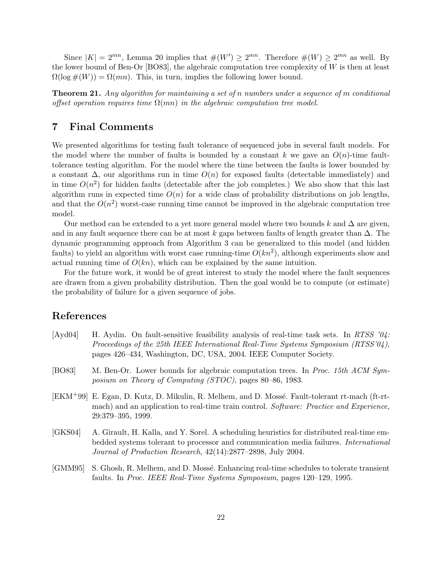Since  $|K| = 2^{mn}$ , Lemma 20 implies that  $#(W') \ge 2^{mn}$ . Therefore  $#(W) \ge 2^{mn}$  as well. By the lower bound of Ben-Or [BO83], the algebraic computation tree complexity of  $W$  is then at least  $\Omega(\log \#(W)) = \Omega(mn)$ . This, in turn, implies the following lower bound.

**Theorem 21.** Any algorithm for maintaining a set of n numbers under a sequence of m conditional offset operation requires time  $\Omega(mn)$  in the algebraic computation tree model.

## 7 Final Comments

We presented algorithms for testing fault tolerance of sequenced jobs in several fault models. For the model where the number of faults is bounded by a constant k we gave an  $O(n)$ -time faulttolerance testing algorithm. For the model where the time between the faults is lower bounded by a constant  $\Delta$ , our algorithms run in time  $O(n)$  for exposed faults (detectable immediately) and in time  $O(n^2)$  for hidden faults (detectable after the job completes.) We also show that this last algorithm runs in expected time  $O(n)$  for a wide class of probability distributions on job lengths, and that the  $O(n^2)$  worst-case running time cannot be improved in the algebraic computation tree model.

Our method can be extended to a yet more general model where two bounds k and  $\Delta$  are given, and in any fault sequence there can be at most k gaps between faults of length greater than  $\Delta$ . The dynamic programming approach from Algorithm 3 can be generalized to this model (and hidden faults) to yield an algorithm with worst case running-time  $O(kn^2)$ , although experiments show and actual running time of  $O(kn)$ , which can be explained by the same intuition.

For the future work, it would be of great interest to study the model where the fault sequences are drawn from a given probability distribution. Then the goal would be to compute (or estimate) the probability of failure for a given sequence of jobs.

#### References

- [Ayd04] H. Aydin. On fault-sensitive feasibility analysis of real-time task sets. In RTSS  $\partial \mathcal{U}$ : Proceedings of the 25th IEEE International Real-Time Systems Symposium (RTSS'04), pages 426–434, Washington, DC, USA, 2004. IEEE Computer Society.
- [BO83] M. Ben-Or. Lower bounds for algebraic computation trees. In Proc. 15th ACM Symposium on Theory of Computing (STOC), pages 80–86, 1983.
- [EKM<sup>+99]</sup> E. Egan, D. Kutz, D. Mikulin, R. Melhem, and D. Mossé. Fault-tolerant rt-mach (ft-rtmach) and an application to real-time train control. Software: Practice and Experience, 29:379–395, 1999.
- [GKS04] A. Girault, H. Kalla, and Y. Sorel. A scheduling heuristics for distributed real-time embedded systems tolerant to processor and communication media failures. International Journal of Production Research, 42(14):2877–2898, July 2004.
- [GMM95] S. Ghosh, R. Melhem, and D. Mossé. Enhancing real-time schedules to tolerate transient faults. In Proc. IEEE Real-Time Systems Symposium, pages 120–129, 1995.